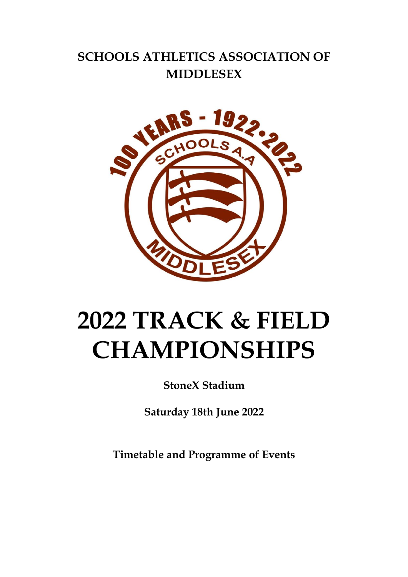# **SCHOOLS ATHLETICS ASSOCIATION OF MIDDLESEX**



# **2022 TRACK & FIELD CHAMPIONSHIPS**

**StoneX Stadium**

**Saturday 18th June 2022**

**Timetable and Programme of Events**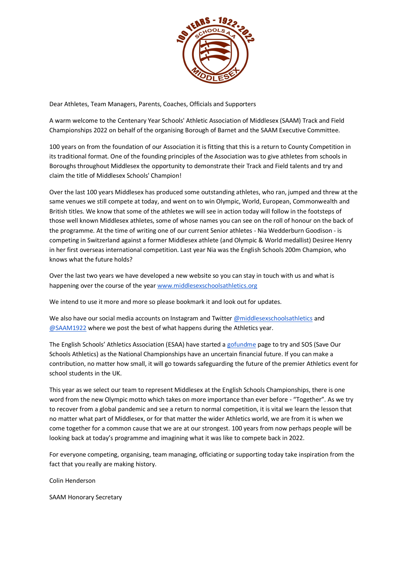

Dear Athletes, Team Managers, Parents, Coaches, Officials and Supporters

A warm welcome to the Centenary Year Schools' Athletic Association of Middlesex (SAAM) Track and Field Championships 2022 on behalf of the organising Borough of Barnet and the SAAM Executive Committee.

100 years on from the foundation of our Association it is fitting that this is a return to County Competition in its traditional format. One of the founding principles of the Association was to give athletes from schools in Boroughs throughout Middlesex the opportunity to demonstrate their Track and Field talents and try and claim the title of Middlesex Schools' Champion!

Over the last 100 years Middlesex has produced some outstanding athletes, who ran, jumped and threw at the same venues we still compete at today, and went on to win Olympic, World, European, Commonwealth and British titles. We know that some of the athletes we will see in action today will follow in the footsteps of those well known Middlesex athletes, some of whose names you can see on the roll of honour on the back of the programme. At the time of writing one of our current Senior athletes - Nia Wedderburn Goodison - is competing in Switzerland against a former Middlesex athlete (and Olympic & World medallist) Desiree Henry in her first overseas international competition. Last year Nia was the English Schools 200m Champion, who knows what the future holds?

Over the last two years we have developed a new website so you can stay in touch with us and what is happening over the course of the yea[r www.middlesexschoolsathletics.org](http://www.middlesexschoolsathletics.org/)

We intend to use it more and more so please bookmark it and look out for updates.

We also have our social media accounts on Instagram and Twitter [@middlesexschoolsathletics](https://www.instagram.com/middlesexschoolsathletics/) and [@SAAM1922](https://twitter.com/saam1922) where we post the best of what happens during the Athletics year.

The English Schools' Athletics Association (ESAA) have started a [gofundme](https://gofund.me/edf6b5ba) page to try and SOS (Save Our Schools Athletics) as the National Championships have an uncertain financial future. If you can make a contribution, no matter how small, it will go towards safeguarding the future of the premier Athletics event for school students in the UK.

This year as we select our team to represent Middlesex at the English Schools Championships, there is one word from the new Olympic motto which takes on more importance than ever before - "Together". As we try to recover from a global pandemic and see a return to normal competition, it is vital we learn the lesson that no matter what part of Middlesex, or for that matter the wider Athletics world, we are from it is when we come together for a common cause that we are at our strongest. 100 years from now perhaps people will be looking back at today's programme and imagining what it was like to compete back in 2022.

For everyone competing, organising, team managing, officiating or supporting today take inspiration from the fact that you really are making history.

Colin Henderson

SAAM Honorary Secretary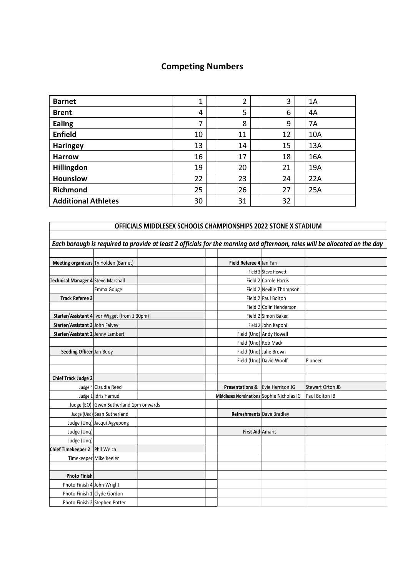## **Competing Numbers**

| <b>Barnet</b>              | $\mathbf 1$ | 2  | 3  | 1A  |
|----------------------------|-------------|----|----|-----|
| <b>Brent</b>               | 4           | 5  | 6  | 4A  |
| <b>Ealing</b>              | ⇁           | 8  | 9  | 7A  |
| <b>Enfield</b>             | 10          | 11 | 12 | 10A |
| <b>Haringey</b>            | 13          | 14 | 15 | 13A |
| <b>Harrow</b>              | 16          | 17 | 18 | 16A |
| Hillingdon                 | 19          | 20 | 21 | 19A |
| <b>Hounslow</b>            | 22          | 23 | 24 | 22A |
| Richmond                   | 25          | 26 | 27 | 25A |
| <b>Additional Athletes</b> | 30          | 31 | 32 |     |

|                                    |                                                 | OFFICIALS MIDDLESEX SCHOOLS CHAMPIONSHIPS 2022 STONE X STADIUM |                                             |                          |                                                                                                                            |
|------------------------------------|-------------------------------------------------|----------------------------------------------------------------|---------------------------------------------|--------------------------|----------------------------------------------------------------------------------------------------------------------------|
|                                    |                                                 |                                                                |                                             |                          |                                                                                                                            |
|                                    |                                                 |                                                                |                                             |                          | Each borough is required to provide at least 2 officials for the morning and afternoon, roles will be allocated on the day |
|                                    |                                                 |                                                                |                                             |                          |                                                                                                                            |
|                                    | Meeting organisers Ty Holden (Barnet)           |                                                                | Field Referee 4 lan Farr                    |                          |                                                                                                                            |
|                                    |                                                 |                                                                |                                             | Field 3 Steve Hewett     |                                                                                                                            |
| Technical Manager 4 Steve Marshall |                                                 |                                                                |                                             | Field 2 Carole Harris    |                                                                                                                            |
|                                    | Emma Gouge                                      |                                                                |                                             | Field 2 Neville Thompson |                                                                                                                            |
| <b>Track Referee 3</b>             |                                                 |                                                                |                                             | Field 2 Paul Bolton      |                                                                                                                            |
|                                    |                                                 |                                                                |                                             | Field 2 Colin Henderson  |                                                                                                                            |
|                                    | Starter/Assistant 4   Ivor Wigget (from 1 30pm) |                                                                |                                             | Field 2 Simon Baker      |                                                                                                                            |
| Starter/Assistant 3 John Falvey    |                                                 |                                                                |                                             | Field 2 John Kaponi      |                                                                                                                            |
| Starter/Assistant 2 Jenny Lambert  |                                                 |                                                                |                                             | Field (Unq) Andy Howell  |                                                                                                                            |
|                                    |                                                 |                                                                | Field (Ung) Rob Mack                        |                          |                                                                                                                            |
| Seeding Officer Jan Buoy           |                                                 |                                                                |                                             | Field (Ung) Julie Brown  |                                                                                                                            |
|                                    |                                                 |                                                                |                                             | Field (Ung) David Woolf  | Pioneer                                                                                                                    |
|                                    |                                                 |                                                                |                                             |                          |                                                                                                                            |
| <b>Chief Track Judge 2</b>         |                                                 |                                                                |                                             |                          |                                                                                                                            |
|                                    | Judge 4 Claudia Reed                            |                                                                | <b>Presentations &amp; Evie Harrison JG</b> |                          | <b>Stewart Orton JB</b>                                                                                                    |
|                                    | Judge 1 Idris Hamud                             |                                                                | Middlesex Nominations Sophie Nicholas IG    |                          | Paul Bolton IB                                                                                                             |
|                                    | Judge (EO) Gwen Sutherland 1pm onwards          |                                                                |                                             |                          |                                                                                                                            |
|                                    | Judge (Ung) Sean Sutherland                     |                                                                | Refreshments Dave Bradley                   |                          |                                                                                                                            |
|                                    | Judge (Unq) Jacqui Agyepong                     |                                                                |                                             |                          |                                                                                                                            |
| Judge (Unq)                        |                                                 |                                                                | First Aid Amaris                            |                          |                                                                                                                            |
| Judge (Unq)                        |                                                 |                                                                |                                             |                          |                                                                                                                            |
| Chief Timekeeper 2 Phil Welch      |                                                 |                                                                |                                             |                          |                                                                                                                            |
|                                    | Timekeeper Mike Keeler                          |                                                                |                                             |                          |                                                                                                                            |
|                                    |                                                 |                                                                |                                             |                          |                                                                                                                            |
| <b>Photo Finish</b>                |                                                 |                                                                |                                             |                          |                                                                                                                            |
| Photo Finish 4 John Wright         |                                                 |                                                                |                                             |                          |                                                                                                                            |
|                                    | Photo Finish 1 Clyde Gordon                     |                                                                |                                             |                          |                                                                                                                            |
|                                    | Photo Finish 2 Stephen Potter                   |                                                                |                                             |                          |                                                                                                                            |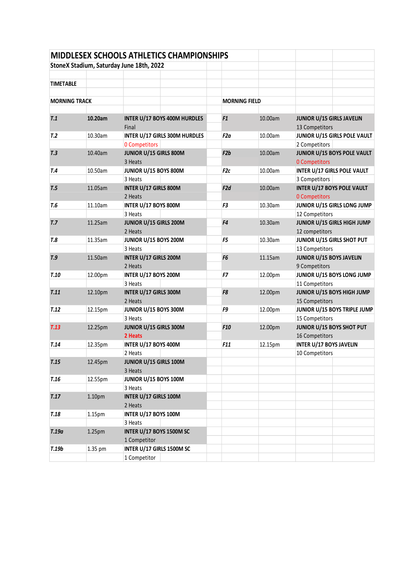|                      |         | <b>MIDDLESEX SCHOOLS ATHLETICS CHAMPIONSHIPS</b> |                      |         |                                                           |                              |
|----------------------|---------|--------------------------------------------------|----------------------|---------|-----------------------------------------------------------|------------------------------|
|                      |         | StoneX Stadium, Saturday June 18th, 2022         |                      |         |                                                           |                              |
|                      |         |                                                  |                      |         |                                                           |                              |
| <b>TIMETABLE</b>     |         |                                                  |                      |         |                                                           |                              |
|                      |         |                                                  |                      |         |                                                           |                              |
| <b>MORNING TRACK</b> |         |                                                  | <b>MORNING FIELD</b> |         |                                                           |                              |
|                      |         |                                                  |                      |         |                                                           |                              |
| T.1                  | 10.20am | INTER U/17 BOYS 400M HURDLES<br>Final            | F1                   | 10.00am | JUNIOR U/15 GIRLS JAVELIN<br>13 Competitors               |                              |
| T <sub>.2</sub>      | 10.30am | <b>INTER U/17 GIRLS 300M HURDLES</b>             | F2a                  | 10.00am |                                                           | JUNIOR U/15 GIRLS POLE VAULT |
|                      |         | <b>0 Competitors</b>                             |                      |         | 2 Competitors                                             |                              |
| T <sub>.3</sub>      | 10.40am | JUNIOR U/15 GIRLS 800M<br>3 Heats                | F2b                  | 10.00am | <b>0 Competitors</b>                                      | JUNIOR U/15 BOYS POLE VAULT  |
| T.4                  | 10.50am | JUNIOR U/15 BOYS 800M                            | F2c                  | 10.00am | <b>INTER U/17 GIRLS POLE VAULT</b>                        |                              |
|                      |         | 3 Heats                                          |                      |         | 3 Competitors                                             |                              |
| T.5                  | 11.05am | INTER U/17 GIRLS 800M<br>2 Heats                 | F2d                  | 10.00am | <b>INTER U/17 BOYS POLE VAULT</b><br><b>0 Competitors</b> |                              |
| T.6                  | 11.10am | INTER U/17 BOYS 800M                             | F <sub>3</sub>       | 10.30am |                                                           | JUNIOR U/15 GIRLS LONG JUMP  |
|                      |         | 3 Heats                                          |                      |         | 12 Competitors                                            |                              |
| T.7                  | 11.25am | JUNIOR U/15 GIRLS 200M<br>2 Heats                | F4                   | 10.30am | 12 competitors                                            | JUNIOR U/15 GIRLS HIGH JUMP  |
| T.8                  | 11.35am | JUNIOR U/15 BOYS 200M                            | F <sub>5</sub>       | 10.30am | JUNIOR U/15 GIRLS SHOT PUT                                |                              |
|                      |         | 3 Heats                                          |                      |         | 13 Competitors                                            |                              |
| T.9                  | 11.50am | INTER U/17 GIRLS 200M<br>2 Heats                 | F <sub>6</sub>       | 11.15am | JUNIOR U/15 BOYS JAVELIN<br>9 Competitors                 |                              |
| <b>T.10</b>          | 12.00pm | INTER U/17 BOYS 200M                             | F7                   | 12.00pm |                                                           | JUNIOR U/15 BOYS LONG JUMP   |
|                      |         | 3 Heats                                          |                      |         | 11 Competitors                                            |                              |
| T.11                 | 12.10pm | INTER U/17 GIRLS 300M<br>2 Heats                 | F8                   | 12.00pm | 15 Competitors                                            | JUNIOR U/15 BOYS HIGH JUMP   |
| T.12                 | 12.15pm | JUNIOR U/15 BOYS 300M                            | F9                   | 12.00pm |                                                           | JUNIOR U/15 BOYS TRIPLE JUMP |
|                      |         | 3 Heats                                          |                      |         | 15 Competitors                                            |                              |
| T.13                 | 12.25pm | JUNIOR U/15 GIRLS 300M                           | F <sub>10</sub>      | 12.00pm | JUNIOR U/15 BOYS SHOT PUT                                 |                              |
|                      |         | 2 Heats                                          |                      |         | 16 Competitors                                            |                              |
| T.14                 | 12.35pm | INTER U/17 BOYS 400M                             | F11                  | 12.15pm | <b>INTER U/17 BOYS JAVELIN</b>                            |                              |
|                      |         | 2 Heats                                          |                      |         | 10 Competitors                                            |                              |
| T.15                 | 12.45pm | JUNIOR U/15 GIRLS 100M                           |                      |         |                                                           |                              |
|                      |         | 3 Heats                                          |                      |         |                                                           |                              |
| T.16                 | 12.55pm | JUNIOR U/15 BOYS 100M                            |                      |         |                                                           |                              |
|                      |         | 3 Heats                                          |                      |         |                                                           |                              |
| T.17                 | 1.10pm  | INTER U/17 GIRLS 100M                            |                      |         |                                                           |                              |
|                      |         | 2 Heats                                          |                      |         |                                                           |                              |
| <b>T.18</b>          | 1.15pm  | INTER U/17 BOYS 100M                             |                      |         |                                                           |                              |
|                      |         | 3 Heats                                          |                      |         |                                                           |                              |
| T.19a                | 1.25pm  | INTER U/17 BOYS 1500M SC                         |                      |         |                                                           |                              |
|                      |         | 1 Competitor                                     |                      |         |                                                           |                              |
| T.19b                | 1.35 pm | INTER U/17 GIRLS 1500M SC                        |                      |         |                                                           |                              |
|                      |         | 1 Competitor                                     |                      |         |                                                           |                              |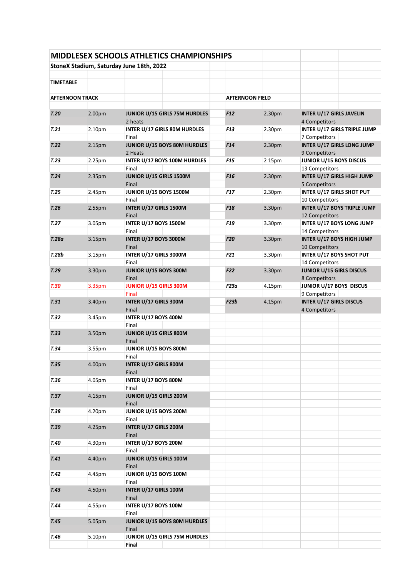|                        |        | <b>MIDDLESEX SCHOOLS ATHLETICS CHAMPIONSHIPS</b> |                        |        |                                                    |  |
|------------------------|--------|--------------------------------------------------|------------------------|--------|----------------------------------------------------|--|
|                        |        | StoneX Stadium, Saturday June 18th, 2022         |                        |        |                                                    |  |
|                        |        |                                                  |                        |        |                                                    |  |
| <b>TIMETABLE</b>       |        |                                                  |                        |        |                                                    |  |
| <b>AFTERNOON TRACK</b> |        |                                                  | <b>AFTERNOON FIELD</b> |        |                                                    |  |
|                        |        |                                                  |                        |        |                                                    |  |
| T.20                   | 2.00pm | JUNIOR U/15 GIRLS 75M HURDLES<br>2 heats         | F12                    | 2.30pm | <b>INTER U/17 GIRLS JAVELIN</b><br>4 Competitors   |  |
| T.21                   | 2.10pm | INTER U/17 GIRLS 80M HURDLES                     | <b>F13</b>             | 2.30pm | INTER U/17 GIRLS TRIPLE JUMP                       |  |
|                        |        | Final                                            |                        |        | 7 Competitors                                      |  |
| T.22                   | 2.15pm | JUNIOR U/15 BOYS 80M HURDLES<br>2 Heats          | F <sub>14</sub>        | 2.30pm | <b>INTER U/17 GIRLS LONG JUMP</b><br>9 Competitors |  |
| T.23                   | 2.25pm | INTER U/17 BOYS 100M HURDLES                     | F15                    | 2 15pm | JUNIOR U/15 BOYS DISCUS                            |  |
| T.24                   | 2.35pm | Final<br>JUNIOR U/15 GIRLS 1500M                 | F <sub>16</sub>        | 2.30pm | 13 Competitors<br>INTER U/17 GIRLS HIGH JUMP       |  |
|                        |        | Final                                            |                        |        | 5 Competitors                                      |  |
| T.25                   | 2.45pm | JUNIOR U/15 BOYS 1500M                           | <b>F17</b>             | 2.30pm | <b>INTER U/17 GIRLS SHOT PUT</b>                   |  |
|                        |        | Final                                            |                        |        | 10 Competitors                                     |  |
| T.26                   | 2.55pm | INTER U/17 GIRLS 1500M<br>Final                  | F <sub>18</sub>        | 3.30pm | INTER U/17 BOYS TRIPLE JUMP<br>12 Competitors      |  |
| T.27                   | 3.05pm | <b>INTER U/17 BOYS 1500M</b>                     | F19                    | 3.30pm | INTER U/17 BOYS LONG JUMP                          |  |
| T.28a                  | 3.15pm | Final<br>INTER U/17 BOYS 3000M                   | F <sub>20</sub>        | 3.30pm | 14 Competitors<br>INTER U/17 BOYS HIGH JUMP        |  |
|                        |        | Final                                            |                        |        | 10 Competitors                                     |  |
| T.28b                  | 3.15pm | INTER U/17 GIRLS 3000M                           | F21                    | 3.30pm | <b>INTER U/17 BOYS SHOT PUT</b>                    |  |
|                        |        | Final<br>JUNIOR U/15 BOYS 300M                   | <b>F22</b>             | 3.30pm | 14 Competitors<br>JUNIOR U/15 GIRLS DISCUS         |  |
| T.29                   | 3.30pm | Final                                            |                        |        | 8 Competitors                                      |  |
| T.30                   | 3.35pm | JUNIOR U/15 GIRLS 300M                           | <b>F23a</b>            | 4.15pm | JUNIOR U/17 BOYS DISCUS                            |  |
|                        |        | Final                                            |                        |        | 9 Competitors                                      |  |
| T.31                   | 3.40pm | INTER U/17 GIRLS 300M<br>Final                   | F23b                   | 4.15pm | <b>INTER U/17 GIRLS DISCUS</b><br>4 Competitors    |  |
| T.32                   | 3.45pm | INTER U/17 BOYS 400M                             |                        |        |                                                    |  |
|                        |        | Final                                            |                        |        |                                                    |  |
| T.33                   | 3.50pm | JUNIOR U/15 GIRLS 800M<br>Final                  |                        |        |                                                    |  |
| T.34                   | 3.55pm | JUNIOR U/15 BOYS 800M                            |                        |        |                                                    |  |
|                        |        | Final                                            |                        |        |                                                    |  |
| T.35                   | 4.00pm | INTER U/17 GIRLS 800M<br>Final                   |                        |        |                                                    |  |
| T.36                   | 4.05pm | INTER U/17 BOYS 800M                             |                        |        |                                                    |  |
|                        |        | Final                                            |                        |        |                                                    |  |
| T.37                   | 4.15pm | JUNIOR U/15 GIRLS 200M                           |                        |        |                                                    |  |
| <b>T.38</b>            | 4.20pm | Final<br>JUNIOR U/15 BOYS 200M                   |                        |        |                                                    |  |
|                        |        | Final                                            |                        |        |                                                    |  |
| T.39                   | 4.25pm | INTER U/17 GIRLS 200M                            |                        |        |                                                    |  |
|                        |        | Final                                            |                        |        |                                                    |  |
| T.40                   | 4.30pm | INTER U/17 BOYS 200M<br>Final                    |                        |        |                                                    |  |
| T.41                   | 4.40pm | JUNIOR U/15 GIRLS 100M                           |                        |        |                                                    |  |
|                        |        | Final                                            |                        |        |                                                    |  |
| T.42                   | 4.45pm | JUNIOR U/15 BOYS 100M                            |                        |        |                                                    |  |
| T.43                   | 4.50pm | Final<br>INTER U/17 GIRLS 100M                   |                        |        |                                                    |  |
|                        |        | Final                                            |                        |        |                                                    |  |
| T.44                   | 4.55pm | INTER U/17 BOYS 100M                             |                        |        |                                                    |  |
|                        |        | Final                                            |                        |        |                                                    |  |
| T.45                   | 5.05pm | JUNIOR U/15 BOYS 80M HURDLES<br>Final            |                        |        |                                                    |  |
| T.46                   | 5.10pm | JUNIOR U/15 GIRLS 75M HURDLES                    |                        |        |                                                    |  |
|                        |        | Final                                            |                        |        |                                                    |  |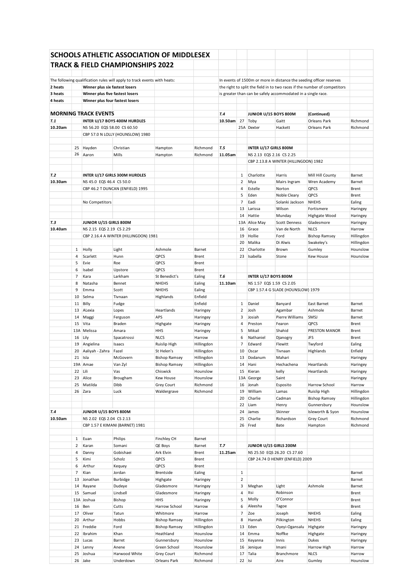|         |                |                                 | SCHOOLS ATHLETIC ASSOCIATION OF MIDDLESEX                                |                            |                      |         |                |                          |                                                              |                                                                                                                                                  |                  |
|---------|----------------|---------------------------------|--------------------------------------------------------------------------|----------------------------|----------------------|---------|----------------|--------------------------|--------------------------------------------------------------|--------------------------------------------------------------------------------------------------------------------------------------------------|------------------|
|         |                |                                 | <b>TRACK &amp; FIELD CHAMPIONSHIPS 2022</b>                              |                            |                      |         |                |                          |                                                              |                                                                                                                                                  |                  |
|         |                |                                 |                                                                          |                            |                      |         |                |                          |                                                              |                                                                                                                                                  |                  |
|         |                |                                 |                                                                          |                            |                      |         |                |                          |                                                              |                                                                                                                                                  |                  |
| 2 heats |                | Winner plus six fastest losers  | The following qualification rules will apply to track events with heats: |                            |                      |         |                |                          |                                                              | In events of 1500m or more in distance the seeding officer reserves<br>the right to split the field in to two races if the number of competitors |                  |
| 3 heats |                | Winner plus five fastest losers |                                                                          |                            |                      |         |                |                          | is greater than can be safely accommodated in a single race. |                                                                                                                                                  |                  |
| 4 heats |                | Winner plus four fastest losers |                                                                          |                            |                      |         |                |                          |                                                              |                                                                                                                                                  |                  |
|         |                |                                 |                                                                          |                            |                      |         |                |                          |                                                              |                                                                                                                                                  |                  |
|         |                | <b>MORNING TRACK EVENTS</b>     |                                                                          |                            |                      | T.4     |                | JUNIOR U/15 BOYS 800M    |                                                              | (Continued)                                                                                                                                      |                  |
| T.1     |                |                                 | INTER U/17 BOYS 400M HURDLES                                             |                            |                      | 10.50am |                | 27 Toby                  | Gaitt                                                        | <b>Orleans Park</b>                                                                                                                              | Richmond         |
| 10.20am |                | NS 56.20 EQS 58.00 CS 60.50     |                                                                          |                            |                      |         |                | 25A Dexter               | Hackett                                                      | <b>Orleans Park</b>                                                                                                                              | Richmond         |
|         |                |                                 | CBP 57.0 N LOLLY (HOUNSLOW) 1980                                         |                            |                      |         |                |                          |                                                              |                                                                                                                                                  |                  |
|         |                |                                 |                                                                          |                            |                      |         |                |                          |                                                              |                                                                                                                                                  |                  |
|         | 25             | Hayden                          | Christian                                                                | Hampton                    | Richmond             | T.5     |                | INTER U/17 GIRLS 800M    |                                                              |                                                                                                                                                  |                  |
|         | 26             | Aaron                           | Mills                                                                    | Hampton                    | Richmond             | 11.05am |                | NS 2.13 EQS 2.16 CS 2.25 |                                                              |                                                                                                                                                  |                  |
|         |                |                                 |                                                                          |                            |                      |         |                |                          | CBP 2.13.8 A WINTER (HILLINGDON) 1982                        |                                                                                                                                                  |                  |
|         |                |                                 |                                                                          |                            |                      |         |                |                          |                                                              |                                                                                                                                                  |                  |
| T.2     |                |                                 | INTER U/17 GIRLS 300M HURDLES                                            |                            |                      |         | 1              | Charlotte                | Harris                                                       | Mill Hill County                                                                                                                                 | Barnet           |
| 10.30am |                | NS 45.0 EQS 46.4 CS 50.0        |                                                                          |                            |                      |         | $\overline{2}$ | Mya                      | Mairs Ingram                                                 | Wren Academy                                                                                                                                     | Barnet           |
|         |                |                                 | CBP 46.2 T DUNCAN (ENFIELD) 1995                                         |                            |                      |         | 4              | Estelle                  | Norton                                                       | QPCS                                                                                                                                             | Brent            |
|         |                |                                 |                                                                          |                            |                      |         | 5              | Eden                     | Noble Cleary                                                 | QPCS                                                                                                                                             | Brent            |
|         |                | No Competitors                  |                                                                          |                            |                      |         | 7              | Eadi                     | Solanki Jackson                                              | <b>NHEHS</b>                                                                                                                                     | Ealing           |
|         |                |                                 |                                                                          |                            |                      |         | 13             | Larissa                  | Wilson                                                       | Fortismere                                                                                                                                       | Haringey         |
|         |                |                                 |                                                                          |                            |                      |         | 14             | Hattie                   | Munday                                                       | Highgate Wood                                                                                                                                    | Haringey         |
| Т.З     |                | JUNIOR U/15 GIRLS 800M          |                                                                          |                            |                      |         |                | 13A Alice May            | <b>Scott Denness</b>                                         | Gladesmore                                                                                                                                       | Haringey         |
| 10.40am |                | NS 2.15 EQS 2.19 CS 2.29        |                                                                          |                            |                      |         | 16             | Grace                    | Van de North                                                 | <b>NLCS</b>                                                                                                                                      | Harrow           |
|         |                |                                 | CBP 2.16.4 A WINTER (HILLINGDON) 1981                                    |                            |                      |         | 19             | Hollie                   | Ford                                                         | <b>Bishop Ramsey</b>                                                                                                                             | Hillingdon       |
|         |                |                                 |                                                                          |                            |                      |         | 20             | Malika                   | Di Alwis                                                     | Swakeley's                                                                                                                                       | Hillingdon       |
|         | 1              | Holly                           | Light                                                                    | Ashmole                    | Barnet               |         | 22             | Charlotte                | Brown                                                        | Gumley                                                                                                                                           | Hounslow         |
|         | 4              | Scarlett                        | Hunn                                                                     | QPCS                       | <b>Brent</b>         |         | 23             | Isabella                 | Stone                                                        | <b>Kew House</b>                                                                                                                                 | Hounslow         |
|         | 5              | Evie                            | Roe                                                                      | QPCS                       | Brent                |         |                |                          |                                                              |                                                                                                                                                  |                  |
|         | 6              | Isabel                          | Upstore                                                                  | QPCS                       | Brent                |         |                |                          |                                                              |                                                                                                                                                  |                  |
|         | $\overline{7}$ | Kara                            | Larkham                                                                  | St Benedict's              | Ealing               | T.6     |                | INTER U/17 BOYS 800M     |                                                              |                                                                                                                                                  |                  |
|         | 8              | Natasha                         | Bennet                                                                   | <b>NHEHS</b>               | Ealing               | 11.10am |                | NS 1.57 EQS 1.59 CS 2.05 |                                                              |                                                                                                                                                  |                  |
|         | 9              | Emma                            | Scott                                                                    | <b>NHEHS</b>               | Ealing               |         |                |                          | CBP 1.57.4 G SLADE (HOUNSLOW) 1979                           |                                                                                                                                                  |                  |
|         | 10             | Selma                           | Tivnaan                                                                  | Highlands                  | Enfield              |         |                |                          |                                                              |                                                                                                                                                  |                  |
|         | 11             | Billy                           | Fudge                                                                    |                            | Enfield              |         | $\mathbf{1}$   | Daniel                   | Banyard                                                      | East Barnet                                                                                                                                      | Barnet           |
|         | 13             | ALexia                          | Lopes                                                                    | Heartlands                 | Haringey             |         | 2              | Josh                     | Agambar                                                      | Ashmole                                                                                                                                          | Barnet           |
|         | 14             | Maggi                           | Ferguson                                                                 | APS                        | Haringey             |         | 3              | Josiah                   | Pierre Williams                                              | SMSJ                                                                                                                                             | Barnet           |
|         | 15             | Vita                            | Braden                                                                   | Highgate                   | Haringey             |         | 4              | Preston                  | Fearon                                                       | QPCS                                                                                                                                             | Brent            |
|         |                | 13A Melissa                     | Amara                                                                    | HHS                        | Haringey             |         | 5              | Mikail                   | Shahid                                                       | PRESTON MANOR                                                                                                                                    | Brent            |
|         |                | 16 Lily                         | Spacatrossi                                                              | <b>NLCS</b>                | Harrow               |         | 6              | Nathaniel                | Djanogry                                                     | <b>JFS</b>                                                                                                                                       | Brent            |
|         |                |                                 |                                                                          |                            |                      |         |                | Edward                   | Flewitt                                                      | Twyford                                                                                                                                          | Ealing           |
|         | 19             | Angielina                       | Isaacs                                                                   | Ruislip High               | Hillingdon           |         | 7              |                          |                                                              |                                                                                                                                                  |                  |
|         |                | 20 Aaliyah - Zahra              | Fazel                                                                    | St Helen's                 | Hillingdon           |         | 10             | Oscar                    | Tivnaan                                                      | Highlands                                                                                                                                        | Enfield          |
|         |                | 21 Isla                         | McGovern                                                                 | <b>Bishop Ramsey</b>       | Hillingdon           |         | 13             | Dodanum                  | Mahari                                                       |                                                                                                                                                  | Haringey         |
|         |                | 19A Amae                        | Van Zyl                                                                  | <b>Bishop Ramsey</b>       | Hillingdon           |         | 14             | Hani                     | Hechachena                                                   | Heartlands                                                                                                                                       | Haringey         |
|         | 22 Lili        |                                 | Vas                                                                      | Chiswick                   | Hounslow             |         | 15             | Kieran                   | kelly                                                        | Heartlands                                                                                                                                       | Haringey         |
|         |                | 23 Alice                        | Brougham                                                                 | Kew House                  | Hounslow             |         |                | 13A George               | Saint                                                        |                                                                                                                                                  | Haringey         |
|         | 25             | Matilda                         | Dibb                                                                     | Grey Court                 | Richmond             |         | 16             | Jonah                    | Esposito                                                     | Harrow School                                                                                                                                    | Harrow           |
|         |                | 26 Zara                         | Luck                                                                     | Waldergrave                | Richmond             |         | 19             | William                  | Lamas                                                        | Ruislip High                                                                                                                                     | Hillingdon       |
|         |                |                                 |                                                                          |                            |                      |         | 20             | Charlie                  | Cadman                                                       | <b>Bishop Ramsey</b>                                                                                                                             | Hillingdon       |
|         |                |                                 |                                                                          |                            |                      |         | 22             | Liam                     | Henry                                                        | Gunnersbury                                                                                                                                      | Hounslow         |
| Т.4     |                | JUNIOR U/15 BOYS 800M           |                                                                          |                            |                      |         | 24             | James                    | Skinner                                                      | Isleworth & Syon                                                                                                                                 | Hounslow         |
| 10.50am |                | NS 2.02 EQS 2.04 CS 2.13        |                                                                          |                            |                      |         | 25             | Charlie                  | Richardson                                                   | Grey Court                                                                                                                                       | Richmond         |
|         |                |                                 | CBP 1.57 E KIMANI (BARNET) 1981                                          |                            |                      |         | 26             | Fred                     | Bate                                                         | Hampton                                                                                                                                          | Richmond         |
|         |                |                                 |                                                                          |                            |                      |         |                |                          |                                                              |                                                                                                                                                  |                  |
|         | $\mathbf{1}$   | Euan                            | Philips                                                                  | Finchley CH                | Barnet               |         |                |                          |                                                              |                                                                                                                                                  |                  |
|         | 2              | Karan                           | Somani                                                                   | QE Boys                    | Barnet               | T. 7    |                | JUNIOR U/15 GIRLS 200M   |                                                              |                                                                                                                                                  |                  |
|         | 4              | Danny                           | Gobishaei                                                                | Ark Elvin                  | Brent                | 11.25am |                |                          | NS 25.50 EQS 26.20 CS 27.60                                  |                                                                                                                                                  |                  |
|         | 5              | Kimi                            | Scholz                                                                   | QPCS                       | Brent                |         |                |                          | CBP 24.74 D HENRY (ENFIELD) 2009                             |                                                                                                                                                  |                  |
|         | 6              | Arthur                          | Kequey                                                                   | QPCS                       | Brent                |         |                |                          |                                                              |                                                                                                                                                  |                  |
|         | $\overline{7}$ | Kian                            | Jordan                                                                   | Brentside                  | Ealing               |         | $\mathbf{1}$   |                          |                                                              |                                                                                                                                                  | Barnet           |
|         | 13             | Jonathan                        | Burbidge                                                                 | Highgate                   | Haringey             |         | $\overline{2}$ |                          |                                                              |                                                                                                                                                  | Barnet           |
|         | 14             | Rayane                          | Dudeye                                                                   | Gladesmore                 | Haringey             |         | 3              | Meghan                   | Light                                                        | Ashmole                                                                                                                                          | Barnet           |
|         | 15             | Samuel                          | Lindsell                                                                 | Gladesmore                 | Haringey             |         | 4              | Itsi                     | Robinson                                                     |                                                                                                                                                  | Brent            |
|         |                | 13A Joshua                      | Bishop                                                                   | HHS                        | Haringey             |         | 5              | Molly                    | O'Connor                                                     |                                                                                                                                                  | Brent            |
|         | 16             | Ben                             | Cutts                                                                    | Harrow School              | Harrow               |         | 6              | Aleesha                  | Tagoe                                                        |                                                                                                                                                  | Brent            |
|         | 17             | Oliver                          | Tatun                                                                    | Whitmore                   | Harrow               |         | $\overline{7}$ | Zoe                      | Joseph                                                       | <b>NHEHS</b>                                                                                                                                     | Ealing           |
|         | 20             | Arthur                          | Hobbs                                                                    | <b>Bishop Ramsey</b>       | Hillingdon           |         | 8              | Hannah                   | Pilkington                                                   | <b>NHEHS</b>                                                                                                                                     | Ealing           |
|         | 21             | Freddie                         | Ford                                                                     | <b>Bishop Ramsey</b>       | Hillingdon           |         | 13             | Eden                     | Oyeyi-Ogansalu                                               | Highgate                                                                                                                                         | Haringey         |
|         | 22             | Ibrahim                         | Khan                                                                     | Heathland                  | Hounslow             |         | 14             | Emma                     | Noffke                                                       | Highgate                                                                                                                                         | Haringey         |
|         | 23             | Lucas                           | Barret                                                                   | Gunnersbury                | Hounslow             |         | 15             | Keyanna                  | Innis                                                        | Dukes                                                                                                                                            | Haringey         |
|         | 24<br>25       | Lenny<br>Joshua                 | Anene<br>Harwood White                                                   | Green School<br>Grey Court | Hounslow<br>Richmond |         | 16<br>17       | Jenique<br>Talia         | Imani<br>Branchmore                                          | Harrow High<br><b>NLCS</b>                                                                                                                       | Harrow<br>Harrow |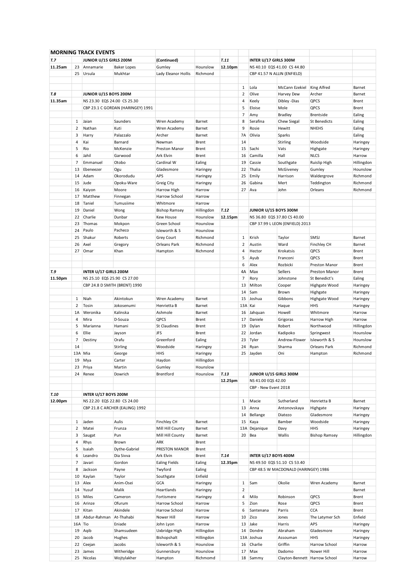|         |                | <b>MORNING TRACK EVENTS</b>   |                                   |                              |                      |         |                |                             |                                      |                             |                  |
|---------|----------------|-------------------------------|-----------------------------------|------------------------------|----------------------|---------|----------------|-----------------------------|--------------------------------------|-----------------------------|------------------|
| T. 7    |                | <b>JUNIOR U/15 GIRLS 200M</b> |                                   | (Continued)                  |                      | T.11    |                | INTER U/17 GIRLS 300M       |                                      |                             |                  |
| 11.25am |                | 23 Annamarie                  | <b>Baker Lopes</b>                | Gumley                       | Hounslow             | 12.10pm |                |                             | NS 40.10 EQS 41.00 CS 44.80          |                             |                  |
|         |                | 25 Ursula                     | Mukhtar                           | Lady Eleanor Hollis          | Richmond             |         |                | CBP 41.57 N ALLIN (ENFIELD) |                                      |                             |                  |
|         |                |                               |                                   |                              |                      |         |                |                             |                                      |                             |                  |
|         |                |                               |                                   |                              |                      |         |                |                             |                                      |                             |                  |
|         |                |                               |                                   |                              |                      |         | $\mathbf{1}$   | Lola                        | McCann Ezekiel                       | King Alfred                 | Barnet           |
| T.8     |                | JUNIOR U/15 BOYS 200M         |                                   |                              |                      |         | $\overline{2}$ | Olive                       | Harvey Dew                           | Archer                      | Barnet           |
| 11.35am |                | NS 23.30 EQS 24.00 CS 25.30   |                                   |                              |                      |         | 4              | Keely                       | Dibley - Dias                        | QPCS                        | Brent            |
|         |                |                               | CBP 23.1 C GORDAN (HARINGEY) 1991 |                              |                      |         | 5              | Eloise                      | Mole                                 | QPCS                        | Brent            |
|         |                |                               |                                   |                              |                      |         | 7              | Amy                         | <b>Bradley</b>                       | <b>Brentside</b>            | Ealing           |
|         | $\mathbf{1}$   | Jaian                         | Saunders                          | Wren Academy                 | Barnet               |         | 8              | Serafina                    | Chew Siegal                          | <b>St Benedicts</b>         | Ealing           |
|         | $\overline{2}$ | Nathan                        | Kuti                              | Wren Academy                 | Barnet               |         | 9              | Rosie                       | Hewitt                               | <b>NHEHS</b>                | Ealing           |
|         | 3              | Harry                         | Palazzalo                         | Archer                       | Barnet               |         | <b>7A</b>      | Olivia                      | Sparks                               |                             | Ealing           |
|         | 4              | Kai                           | Barnard                           | Newman                       | <b>Brent</b>         |         | 14             |                             | Stirling                             | Woodside                    | Haringey         |
|         | 5              | Rio                           | McKenzie                          | Preston Manor                | <b>Brent</b>         |         | 15             | Sachi                       | Vats                                 | Highgate                    | Haringey         |
|         |                |                               |                                   |                              |                      |         |                |                             |                                      |                             |                  |
|         | 6              | Jahil                         | Garwood                           | Ark Elvin                    | Brent                |         | 16             | Camilla                     | Hall                                 | <b>NLCS</b>                 | Harrow           |
|         | 7              | Emmanuel                      | Otobo                             | Cardinal W                   | Ealing               |         | 19             | Cassie                      | Southgate                            | Ruislip High                | Hillingdon       |
|         | 13             | Ebeneezer                     | Ogu                               | Gladesmore                   | Haringey             |         | 22             | Thalia                      | McGiveney                            | Gumley                      | Hounslow         |
|         | 14             | Adam                          | Okorodudu                         | APS                          | Haringey             |         | 25             | Emily                       | Harrison                             | Waldergrove                 | Richmond         |
|         |                | 15 Jude                       | Opoku-Ware                        | Greig City                   | Haringey             |         | 26             | Gabina                      | Mert                                 | Teddington                  | Richmond         |
|         |                | 16 Kaiyon                     | Moore                             | Harrow High                  | Harrow               |         | 27             | Ava                         | John                                 | Orleans                     | Richmond         |
|         | 17             | Matthew                       | Finnegan                          | Harrow School                | Harrow               |         |                |                             |                                      |                             |                  |
|         | 18             | Taniel                        | Tumusiime                         | Whitmore                     | Harrow               |         |                |                             |                                      |                             |                  |
|         | 19             | Daniel                        | Wong                              | <b>Bishop Ramsey</b>         | Hillingdon           | T.12    |                | JUNIOR U/15 BOYS 300M       |                                      |                             |                  |
|         | 22             | Charlie                       | Dunbar                            | Kew House                    | Hounslow             | 12.15pm |                |                             | NS 36.80 EQS 37.80 CS 40.00          |                             |                  |
|         |                |                               |                                   |                              |                      |         |                |                             |                                      |                             |                  |
|         | 23             | Thomas                        | Mokpon                            | Green School                 | Hounslow             |         |                |                             | CBP 37.99 L LEON (ENFIELD) 2013      |                             |                  |
|         | 24             | Paulo                         | Pacheco                           | Isleworth & S                | Hounslow             |         |                |                             |                                      |                             |                  |
|         | 25             | Shakur                        | Roberts                           | Grey Court                   | Richmond             |         | $\mathbf{1}$   | Krish                       | Taylor                               | SMSJ                        | Barnet           |
|         | 26             | Axel                          | Gregory                           | Orleans Park                 | Richmond             |         | 2              | Austin                      | Ward                                 | Finchley CH                 | Barnet           |
|         | 27             | Omar                          | Khan                              | Hampton                      | Richmond             |         | 4              | Hector                      | Krokatsis                            | QPCS                        | Brent            |
|         |                |                               |                                   |                              |                      |         | 5              | Ayub                        | Franconi                             | QPCS                        | Brent            |
|         |                |                               |                                   |                              |                      |         | 6              | Alex                        | Rozbicki                             | Preston Manor               | Brent            |
| T.9     |                | INTER U/17 GIRLS 200M         |                                   |                              |                      |         | 4A             | Max                         | Sellers                              | Preston Manor               | Brent            |
| 11.50pm |                | NS 25.10 EQS 25.90 CS 27.00   |                                   |                              |                      |         | $\overline{7}$ | Rory                        | Johnstone                            | St Benedict's               | Ealing           |
|         |                |                               | CBP 24.8 D SMITH (BRENT) 1990     |                              |                      |         | 13             | Milton                      | Cooper                               | Highgate Wood               | Haringey         |
|         |                |                               |                                   |                              |                      |         |                |                             |                                      |                             |                  |
|         |                |                               |                                   |                              |                      |         | 14             | Sam                         | Brown                                | Highgate                    | Haringey         |
|         | 1              | Niah                          | Akintokun                         | Wren Academy                 | Barnet               |         | 15             | Joshua                      | Gibbons                              | Highgate Wood               | Haringey         |
|         | $\overline{2}$ | Tosin                         | Jokosenumi                        | Henrietta B                  | Barnet               |         | 13A Kai        |                             | Haque                                | HHS                         | Haringey         |
|         | 1A             | Weronika                      | Kalinska                          | Ashmole                      | Barnet               |         | 16             | Jahquan                     | Howell                               | Whitmore                    | Harrow           |
|         | 4              | Mira                          | D-Souza                           | QPCS                         | Brent                |         | 17             | Daniele                     | Grigoras                             | Harrow High                 | Harrow           |
|         | 5              | Marianna                      | Hamani                            | St Claudines                 | <b>Brent</b>         |         | 19             | Dylan                       | Robert                               | Northwood                   | Hillingdon       |
|         | 6              | Ellie                         | Jayson                            | JFS                          | Brent                |         | 22             | Jordan                      | Kadipoko                             | Springwest                  | Hounslow         |
|         | $\overline{7}$ | Destiny                       | Orafu                             | Greenford                    | Ealing               |         | 23             | Tyler                       | Andrew-Flower                        | Isleworth & S               | Hounslow         |
|         | 14             |                               | Stirling                          | Woodside                     | Haringey             |         | 24             | Ryan                        | Sharma                               | Orleans Park                | Richmond         |
|         |                | 13A Mia                       |                                   |                              |                      |         |                |                             | Oni                                  |                             |                  |
|         |                |                               | George                            | <b>HHS</b>                   | Haringey             |         |                | 25 Jayden                   |                                      | Hampton                     | Richmond         |
|         |                | 19 Mya                        | Carter                            | Haydon                       | Hillingdon           |         |                |                             |                                      |                             |                  |
|         |                | 23 Priya                      | Martin                            | Gumley                       | Hounslow             |         |                |                             |                                      |                             |                  |
|         |                | 24 Renee                      | Dowrich                           | Brentford                    | Hounslow             | T.13    |                | JUNIOR U/15 GIRLS 300M      |                                      |                             |                  |
|         |                |                               |                                   |                              |                      | 12.25pm |                | NS 41.00 EQS 42.00          |                                      |                             |                  |
|         |                |                               |                                   |                              |                      |         |                | CBP - New Event 2018        |                                      |                             |                  |
| T.10    |                | INTER U/17 BOYS 200M          |                                   |                              |                      |         |                |                             |                                      |                             |                  |
| 12.00pm |                | NS 22.20 EQS 22.80 CS 24.00   |                                   |                              |                      |         | $\mathbf{1}$   | Macie                       | Sutherland                           | Henrietta B                 | Barnet           |
|         |                |                               | CBP 21.8 C ARCHER (EALING) 1992   |                              |                      |         | 13             | Anna                        | Antonovskaya                         | Highgate                    | Haringey         |
|         |                |                               |                                   |                              |                      |         | 14             | Bellange                    | Diatezo                              | Gladesmore                  | Haringey         |
|         | $\mathbf{1}$   | Jaden                         | Aulis                             |                              | Barnet               |         | 15             |                             | Bamber                               | Woodside                    |                  |
|         |                |                               |                                   | Finchley CH                  |                      |         |                | Kaya                        |                                      |                             | Haringey         |
|         | $\overline{2}$ | Matei                         | Frunza                            | Mill Hill County             | Barnet               |         | 13A            | Dejanique                   | Davy                                 | HHS                         | Haringey         |
|         | 3              | Saugat                        | Pun                               | Mill Hill County             | Barnet               |         | 20             | Bea                         | Wallis                               | <b>Bishop Ramsey</b>        | Hillingdon       |
|         | 4              | Rhys                          | Brown                             | ARK                          | Brent                |         |                |                             |                                      |                             |                  |
|         | 5              | Isaiah                        | Dythe-Gabriel                     | PRESTON MANOR                | Brent                |         |                |                             |                                      |                             |                  |
|         | 6              | Leandro                       | Dia Sivva                         | Ark Elvin                    | Brent                | T.14    |                | INTER U/17 BOYS 400M        |                                      |                             |                  |
|         | $\overline{7}$ | Javari                        | Gordon                            | <b>Ealing Fields</b>         | Ealing               | 12.35pm |                |                             | NS 49.50 EQS 51.10 CS 53.40          |                             |                  |
|         | 8              | Jackson                       | Payne                             | Twyford                      | Ealing               |         |                |                             | CBP 48.5 W MACDONALD (HARINGEY) 1986 |                             |                  |
|         | 10             | Kaylan                        | Taylor                            | Southgate                    | Enfield              |         |                |                             |                                      |                             |                  |
|         | 13             | Alex                          | Anim-Osei                         | GCA                          | Haringey             |         | $\mathbf{1}$   | Sam                         | Okolie                               | Wren Academy                | Barnet           |
|         |                |                               |                                   |                              |                      |         | $\overline{2}$ |                             |                                      |                             |                  |
|         | 14             | Yusuf                         | Malik                             | Heartlands                   | Haringey             |         |                |                             |                                      |                             | Barnet           |
|         | 15             | Miles                         | Cameron                           | Fortismere                   | Haringey             |         | $\overline{4}$ | Milo                        | Robinson                             | QPCS                        | Brent            |
|         | 16             | Arinze                        | Ofurum                            | Harrow School                | Harrow               |         | 5              | Zion                        | Rose                                 | QPCS                        | Brent            |
|         | 17             | Kitan                         | Akindele                          | Harrow School                | Harrow               |         | 6              | Santenana                   | Parris                               | CCA                         | Brent            |
|         |                |                               |                                   | Nower Hill                   | Harrow               |         | 10             | Zico                        | Jones                                | The Latymer Sch             | Enfield          |
|         |                | 18 Abdur-Rahman               | At-Thahabi                        |                              |                      |         |                |                             |                                      |                             |                  |
|         | 16A Tio        |                               | Eniade                            | John Lyon                    | Harrow               |         | 13             | Jake                        | Harris                               | APS                         | Haringey         |
|         |                | 19 Aqib                       | Shamsudeen                        | Uxbridge High                | Hillingdon           |         | 14             | Dondre                      | Abraham                              | Gladesmore                  | Haringey         |
|         |                |                               |                                   |                              |                      |         |                |                             |                                      |                             |                  |
|         |                | 20 Jacob                      | Hughes                            | Bishopshalt                  | Hillingdon           |         |                | 13A Joshua                  | Assouman                             | HHS                         | Haringey         |
|         | 22<br>23       | Ceejan<br>James               | Jacobs<br>Witheridge              | Isleworth & S<br>Gunnersbury | Hounslow<br>Hounslow |         | 16<br>17       | Charlie<br>Max              | Griffin<br>Dadomo                    | Harrow School<br>Nower Hill | Harrow<br>Harrow |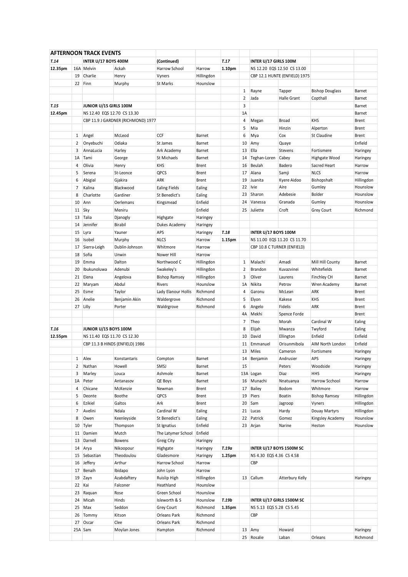|         |              | <b>AFTERNOON TRACK EVENTS</b> |                                    |                      |              |        |                |                             |                                 |                        |                        |
|---------|--------------|-------------------------------|------------------------------------|----------------------|--------------|--------|----------------|-----------------------------|---------------------------------|------------------------|------------------------|
| T.14    |              | INTER U/17 BOYS 400M          |                                    | (Continued)          |              | T.17   |                | INTER U/17 GIRLS 100M       |                                 |                        |                        |
| 12.35pm |              | 16A Melvin                    | Ackah                              | Harrow School        | Harrow       | 1.10pm |                |                             | NS 12.20 EQS 12.50 CS 13.00     |                        |                        |
|         | 19           | Charlie                       | Henry                              | Vyners               | Hillingdon   |        |                |                             | CBP 12.1 HUNTE (ENFIELD) 1975   |                        |                        |
|         |              | 22 Finn                       | Murphy                             | St Marks             | Hounslow     |        |                |                             |                                 |                        |                        |
|         |              |                               |                                    |                      |              |        |                |                             |                                 |                        |                        |
|         |              |                               |                                    |                      |              |        | 1              | Rayne                       | Tapper                          | <b>Bishop Douglass</b> | Barnet                 |
|         |              |                               |                                    |                      |              |        | $\overline{2}$ | Jada                        | Halle Grant                     | Copthall               | Barnet                 |
| T.15    |              | JUNIOR U/15 GIRLS 100M        |                                    |                      |              |        | 3              |                             |                                 |                        | Barnet                 |
| 12.45pm |              | NS 12.40 EQS 12.70 CS 13.30   |                                    |                      |              |        | 1A             |                             |                                 |                        | Barnet                 |
|         |              |                               | CBP 11.9 J GARDNER (RICHMOND) 1977 |                      |              |        | 4              | Megan                       | Broad                           | KHS                    | <b>Brent</b>           |
|         |              |                               |                                    |                      |              |        | 5              | Mia                         | Hinzin                          | Alperton               | <b>Brent</b>           |
|         | $\mathbf{1}$ | Angel                         | McLeod                             | CCF                  | Barnet       |        | 6              | Mya                         | Cox                             | St Claudine            | Brent                  |
|         | 2            | Onyebuchi                     | Odiaka                             | St James             | Barnet       |        | 10             | Amy                         | Quaye                           |                        | Enfield                |
|         | 3            | AnnaLucia                     | Harley                             | Ark Academy          | Barnet       |        | 13             | Ella                        | Stevens                         | Fortismere             | Haringey               |
|         | 1A           | Tami                          | George                             | St Michaels          | Barnet       |        | 14             | Teghan-Loren                | Cabey                           | Highgate Wood          | Haringey               |
|         | 4            | Olivia                        | Henry                              | KHS                  | Brent        |        | 16             | Beulah                      | Badero                          | Sacred Heart           | Harrow                 |
|         | 5            | Serena                        | St-Leonce                          | QPCS                 | <b>Brent</b> |        | 17             | Alana                       | Samji                           | <b>NLCS</b>            | Harrow                 |
|         | 6            | Abigial                       | Gjakira                            | ARK                  | <b>Brent</b> |        | 19             | Juanita                     | Kyere Aidoo                     | Bishopshalt            |                        |
|         |              |                               |                                    |                      |              |        | 22             | Ivie                        | Aire                            | Gumley                 | Hillingdon<br>Hounslow |
|         | 7            | Kalina                        | Blackwood                          | <b>Ealing Fields</b> | Ealing       |        |                |                             | Adebesie                        |                        |                        |
|         | 8            | Charlotte                     | Gardiner                           | St Benedict's        | Ealing       |        | 23             | Sharon                      |                                 | <b>Bolder</b>          | Hounslow               |
|         | 10           | Ann                           | Oerlemans                          | Kingsmead            | Enfield      |        | 24             | Vanessa                     | Granada                         | Gumley                 | Hounslow               |
|         |              | 11 Sky                        | Meniru                             |                      | Enfield      |        | 25             | Juliette                    | Croft                           | Grey Court             | Richmond               |
|         | 13           | Talia                         | Djanogly                           | Highgate             | Haringey     |        |                |                             |                                 |                        |                        |
|         | 14           | Jennifer                      | Birabil                            | Dukes Academy        | Haringey     |        |                |                             |                                 |                        |                        |
|         | 15           | Lyra                          | Yauner                             | APS                  | Haringey     | T.18   |                | <b>INTER U/17 BOYS 100M</b> |                                 |                        |                        |
|         | 16           | Isobel                        | Murphy                             | <b>NLCS</b>          | Harrow       | 1.15pm |                |                             | NS 11.00 EQS 11.20 CS 11.70     |                        |                        |
|         | 17           | Sierra-Leigh                  | Dublin-Johnson                     | Whitmore             | Harrow       |        |                |                             | CBP 10.8 C TURNER (ENFIELD)     |                        |                        |
|         | 18           | Sofia                         | Unwin                              | Nower Hill           | Harrow       |        |                |                             |                                 |                        |                        |
|         | 19           | Emma                          | Dalton                             | Northwood C          | Hillingdon   |        | 1              | Malachi                     | Amadi                           | Mill Hill County       | Barnet                 |
|         | 20           | Ibukunoluwa                   | Adenubi                            | Swakeley's           | Hillingdon   |        | 2              | <b>Brandon</b>              | Kuvazvinei                      | Whitefields            | Barnet                 |
|         | 21           | Elena                         |                                    |                      |              |        | 3              | Oliver                      |                                 | Finchley CH            |                        |
|         |              |                               | Angelova                           | <b>Bishop Ramsey</b> | Hillingdon   |        |                |                             | Laurens                         |                        | Barnet                 |
|         | 22           | Maryam                        | Abdul                              | Rivers               | Hounslow     |        | 1A             | Nikita                      | Petrov                          | Wren Academy           | Barnet                 |
|         | 25           | Esme                          | Taylor                             | Lady Elanour Hollis  | Richmond     |        | 4              | Garonu                      | McLean                          | ARK                    | Brent                  |
|         | 26           | Anelie                        | Benjamin Akin                      | Waldergrove          | Richmond     |        | 5              | Elyon                       | Kakese                          | KHS                    | <b>Brent</b>           |
|         |              | 27 Lilly                      | Porter                             | Waldrgrove           | Richmond     |        | 6              | Angelo                      | Fidelis                         | ARK                    | <b>Brent</b>           |
|         |              |                               |                                    |                      |              |        | 4A             | Mekhi                       | Spence Forde                    |                        | Brent                  |
|         |              |                               |                                    |                      |              |        | 7              | Theo                        | Morah                           | Cardinal W             | Ealing                 |
| T.16    |              | JUNIOR U/15 BOYS 100M         |                                    |                      |              |        | 8              | Elijah                      | Mwanza                          | Twyford                | Ealing                 |
| 12.55pm |              | NS 11.40 EQS 11.70 CS 12.30   |                                    |                      |              |        | 10             | David                       | Ellington                       | Enfield                | Enfield                |
|         |              |                               | CBP 11.3 B HINDS (ENFIELD) 1986    |                      |              |        | 11             | Emmanuel                    | Orisunmibola                    | AIM North London       | Enfield                |
|         |              |                               |                                    |                      |              |        | 13             | Miles                       | Cameron                         | Fortismere             | Haringey               |
|         | 1            | Alex                          | Konstantaris                       | Compton              | Barnet       |        | 14             | Benjamin                    | Andrusier                       | APS                    | Haringey               |
|         | 2            | Nathan                        | Howell                             | SMSJ                 | Barnet       |        | 15             |                             | Peters                          | Woodside               | Haringey               |
|         | 3            |                               |                                    | Ashmole              |              |        |                |                             |                                 | <b>HHS</b>             |                        |
|         |              | Marley                        | Louca                              |                      | Barnet       |        |                | 13A Logan                   | Diaz                            |                        | Haringey               |
|         | 1A           | Peter                         | Antanasov                          | QE Boys              | Barnet       |        | 16             | Munachi                     | Nnatuanya                       | Harrow Scchool         | Harrow                 |
|         | 4            | Chicane                       | McKenzie                           | Newman               | <b>Brent</b> |        | 17             | <b>Bailey</b>               | Bodom                           | Whitmore               | Harrow                 |
|         | 5            | Deonte                        | Boothe                             | QPCS                 | <b>Brent</b> |        | 19             | Piers                       | Boatin                          | <b>Bishop Ramsey</b>   | Hillingdon             |
|         | 6            | Ezikiel                       | Galtos                             | Ark                  | Brent        |        | 20             | Sam                         | Jagroop                         | Vyners                 | Hillingdon             |
|         | 7            | Avelini                       | Ndala                              | Cardinal W           | Ealing       |        | 21             | Lucas                       | Hardy                           | Douay Martyrs          | Hillingdon             |
|         | 8            | Owen                          | Keenleyside                        | St Benedict's        | Ealing       |        | 22             | Patrick                     | Gomez                           | Kingsley Academy       | Hounslow               |
|         | 10           | Tyler                         | Thompson                           | St Ignatius          | Enfield      |        | 23             | Arjan                       | Narine                          | Heston                 | Hounslow               |
|         | 11           | Damien                        | Mutch                              | The Latymer School   | Enfield      |        |                |                             |                                 |                        |                        |
|         | 13           | Darnell                       | Bowens                             | Greig City           | Haringey     |        |                |                             |                                 |                        |                        |
|         |              | 14 Arya                       | Nikoopour                          | Highgate             | Haringey     | T.19a  |                |                             | <b>INTER U/17 BOYS 1500M SC</b> |                        |                        |
|         |              | 15 Sebastian                  | Theodoulou                         | Gladesmore           | Haringey     | 1.25pm |                | NS 4.30 EQS 4.36 CS 4.58    |                                 |                        |                        |
|         | 16           | Jeffery                       | Arthur                             | Harrow School        | Harrow       |        |                | CBP                         |                                 |                        |                        |
|         | 17           | Benaih                        | Ibidapo                            | John Lyon            | Harrow       |        |                |                             |                                 |                        |                        |
|         |              |                               |                                    |                      |              |        |                |                             |                                 |                        |                        |
|         | 19           | Zayn                          | Azabdaftery                        | Ruislip High         | Hillingdon   |        | 13             | Callum                      | Atterbury Kelly                 |                        | Haringey               |
|         |              | 22 Kai                        | Falconer                           | Heathland            | Hounslow     |        |                |                             |                                 |                        |                        |
|         | 23           | Raquan                        | Rose                               | Green School         | Hounslow     |        |                |                             |                                 |                        |                        |
|         | 24           | Micah                         | Hinds                              | Isleworth & S        | Hounslow     | T.19b  |                |                             | INTER U/17 GIRLS 1500M SC       |                        |                        |
|         | 25           | Max                           | Seddon                             | Grey Court           | Richmond     | 1.35pm |                | NS 5.13 EQS 5.28 CS 5.45    |                                 |                        |                        |
|         | 26           | Tommy                         | Kitson                             | Orleans Park         | Richmond     |        |                | CBP                         |                                 |                        |                        |
|         | 27           | Oscar                         | Clee                               | Orleans Park         | Richmond     |        |                |                             |                                 |                        |                        |
|         |              | 25A Sam                       | Moylan Jones                       | Hampton              | Richmond     |        | 13             | Amy                         | Howard                          |                        | Haringey               |
|         |              |                               |                                    |                      |              |        |                | 25 Rosalie                  | Laban                           | Orleans                | Richmond               |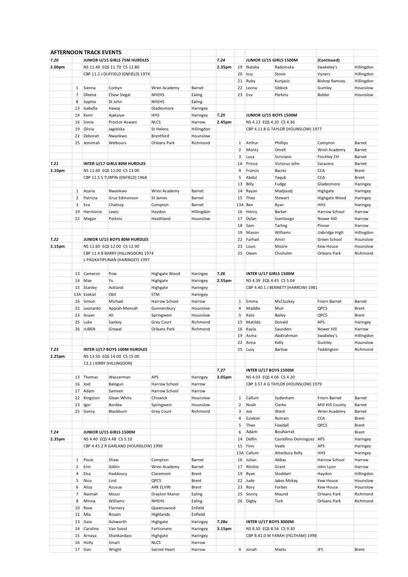|        |                | AFTERNOON TRACK EVENTS |                                      |                  |            |        |                |                               |                                     |                               |            |
|--------|----------------|------------------------|--------------------------------------|------------------|------------|--------|----------------|-------------------------------|-------------------------------------|-------------------------------|------------|
| T.20   |                |                        | JUNIOR U/15 GIRLS 75M HURDLES        |                  |            | T.24   |                | JUNIOR U/15 GIRLS 1500M       |                                     | (Continued)                   |            |
| 2.00pm |                |                        | NS 11.40 EQS 11.70 CS 12.80          |                  |            | 2.35pm | 19             | Natalia                       | Radomska                            | Swakeley's                    | Hillingdon |
|        |                |                        | CBP 11.2 J DUFFIELD (ENFIELD) 1974   |                  |            |        | 20             | <b>Issy</b>                   | Stone                               | Vyners                        | Hillingdon |
|        |                |                        |                                      |                  |            |        | 21             | Ruby                          | Kunjasic                            | <b>Bishop Ramsey</b>          | Hillingdon |
|        | $\mathbf{1}$   | Sienna                 | Corbyn                               | Wren Academy     | Barnet     |        | 22             | Leona                         | Sibbick                             | Gumley                        | Hounslow   |
|        |                |                        |                                      |                  |            |        |                |                               |                                     |                               |            |
|        | 7              | Oleena                 | Chew Siegal                          | <b>NHEHS</b>     | Ealing     |        | 23             | Eva                           | Perkins                             | Bolder                        | Hounslow   |
|        | 8              | Sophie                 | Di John                              | <b>NHEHS</b>     | Ealing     |        |                |                               |                                     |                               |            |
|        | 13             | Isabella               | Hawaj                                | Gladesmore       | Haringey   |        |                |                               |                                     |                               |            |
|        | 14             | Kemi                   | Ajakaiye                             | HHS              | Haringey   | T.25   |                | <b>JUNIOR U/15 BOYS 1500M</b> |                                     |                               |            |
|        | 16             | Sonia                  | Proctor-Aswani                       | <b>NLCS</b>      | Harrow     | 2.45pm |                | NS 4.13 EQS 4.20 CS 4.36      |                                     |                               |            |
|        | 19             | Olivia                 | Jagielska                            | St Helens        | Hillingdon |        |                |                               | CBP 4.11.8 G TAYLOR (HOUNSLOW) 1977 |                               |            |
|        | 22             | Deborah                | Nwankwo                              | Brentford        | Hounslow   |        |                |                               |                                     |                               |            |
|        | 25             | Jemimah                | Welbours                             | Orleans Park     | Richmond   |        | 1              | Arthur                        | Phillips                            | Compton                       | Barnet     |
|        |                |                        |                                      |                  |            |        | 2              | Monty                         | Omell                               | Wren Academy                  | Barnet     |
|        |                |                        |                                      |                  |            |        | 3              | Luca                          | Scriviano                           | Finchley CH                   | Barnet     |
| T.21   |                |                        |                                      |                  |            |        | 1A             | Prince                        | Victorus John                       | Saracens                      | Barnet     |
|        |                |                        | INTER U/17 GIRLS 80M HURDLES         |                  |            |        |                |                               |                                     |                               |            |
| 2.10pm |                |                        | NS 11.60 EQS 12.00 CS 13.00          |                  |            |        | 4              | Francis                       | Bacnis                              | <b>CCA</b>                    | Brent      |
|        |                |                        | CBP 11.5 S TURPIN (ENFIELD) 1968     |                  |            |        | 5              | Abdul                         | Yaqub                               | <b>CCA</b>                    | Brent      |
|        |                |                        |                                      |                  |            |        | 13             | Billy                         | Fudge                               | Gladesmore                    | Haringey   |
|        | $\mathbf{1}$   | Azaria                 | Nwankwo                              | Wren Academy     | Barnet     |        | 14             | Rayan                         | Madjoudj                            | Highgate                      | Haringey   |
|        | $\overline{2}$ | Patricia               | Gruz Edmonson                        | St James         | Barnet     |        | 15             | Theo                          | Stewart                             | Highgate Wood                 | Haringey   |
|        | 3              | Eva                    | Chalisey                             | Compton          | Barnet     |        | 13A            | Ben                           | Ryan                                | <b>HHS</b>                    | Haringey   |
|        | 19             | Hermione               | Lewis                                | Haydon           | Hillingdon |        | 16             | Henry                         | Barker                              | Harrow School                 | Harrow     |
|        | 22             | Megan                  | Perkins                              | Heathland        | Hounslow   |        | 17             | Dylan                         | Ssentoogo                           | Nower Hill                    | Harrow     |
|        |                |                        |                                      |                  |            |        | 18             | Sam                           | Tarling                             | Pinner                        | Harrow     |
|        |                |                        |                                      |                  |            |        | 19             | Mason                         | Williams                            |                               | Hillingdon |
| T.22   |                |                        | JUNIOR U/15 BOYS 80M HURDLES         |                  |            |        | 22             | Farhad                        | Amiri                               | Uxbridge High<br>Green School | Hounslow   |
|        |                |                        |                                      |                  |            |        |                |                               |                                     |                               |            |
| 2.15pm |                |                        | NS 11.60 EQS 12.00 CS 12.90          |                  |            |        | 23             | Louis                         | Moore                               | Kew House                     | Hounslow   |
|        |                |                        | CBP 11.4 B BARRY (HILLINGDON) 1974   |                  |            |        | 25             | Owen                          | Chisholm                            | Orleans Park                  | Richmond   |
|        |                |                        | L PAGKATIPUNAN (HARINGEY) 1997       |                  |            |        |                |                               |                                     |                               |            |
|        |                |                        |                                      |                  |            |        |                |                               |                                     |                               |            |
|        | 13             | Cameron                | Pow                                  | Highgate Wood    | Haringey   | T.26   |                | INTER U/17 GIRLS 1500M        |                                     |                               |            |
|        | 14             | Max                    | Yu                                   | Highgate         | Haringey   | 2.55pm |                | NS 4.39 EQS 4.45 CS 5.04      |                                     |                               |            |
|        | 15             | Stanley                | Ackland                              | Highgate         | Haringey   |        |                |                               | CBP 4.40.1 J BENNETT (HARROW) 1981  |                               |            |
|        |                | 13A Ezekiel            | Obil                                 | <b>STM</b>       | Haringey   |        |                |                               |                                     |                               |            |
|        | 16             | Simon                  | Michael                              | Harrow School    | Harrow     |        | $\mathbf{1}$   | Emma                          | McCluskey                           | Friern Barnet                 | Barnet     |
|        |                |                        |                                      |                  |            |        |                |                               |                                     |                               |            |
|        | 22             | Leonardo               | Appiah-Mensah                        | Gunnersbury      | Hounslow   |        | 4              | Maddie                        | Muir                                | QPCS                          | Brent      |
|        | 23             | Azaan                  | Ali                                  | Springwest       | Hounslow   |        | 5              | Kate                          | Bailey                              | QPCS                          | Brent      |
|        | 25             | Luke                   | Sankey                               | Grey Court       | Richmond   |        | 15             | Matilda                       | Donald                              | APS                           | Haringey   |
|        | 26             | <b>rUBEN</b>           | Grewal                               | Orleans Park     | Richmond   |        | 16             | Kayla                         | Saunders                            | Nower Hill                    | Harrow     |
|        |                |                        |                                      |                  |            |        | 19             | Asma                          | Abdirahman                          | Swakeley's                    | Hillingdon |
|        |                |                        |                                      |                  |            |        | 22             | Anna                          | Kelly                               | Gumley                        | Hounslow   |
| T.23   |                |                        | INTER U/17 BOYS 100M HURDLES         |                  |            |        | 25             | Lucy                          | Barlow                              | Teddington                    | Richmond   |
| 2.25pm |                |                        | NS 13.50 EQS 14.00 CS 15.00          |                  |            |        |                |                               |                                     |                               |            |
|        |                |                        | 13.2 J KIRBY (HILLINGDON)            |                  |            |        |                |                               |                                     |                               |            |
|        |                |                        |                                      |                  |            | T.27   |                | INTER U/17 BOYS 1500M         |                                     |                               |            |
|        | 13             | Thomas                 | Wasserman                            | APS              | Haringey   | 3.05pm |                | NS 4.03 EQS 4.06 CS 4.20      |                                     |                               |            |
|        |                |                        |                                      | Harrow School    |            |        |                |                               |                                     |                               |            |
|        | 16             | Joel                   | Balogun                              |                  | Harrow     |        |                |                               | CBP 3.57.4 G TAYLOR (HOUNSLOW) 1979 |                               |            |
|        | 17             | Adam                   | Sameen                               | Harrow School    | Harrow     |        |                |                               |                                     |                               |            |
|        | 22             | Kingston               | Glean White                          | Chiswick         | Hounslow   |        | 1              | Callum                        | Sydenham                            | Friern Barnet                 | Barnet     |
|        | 23             | Igor                   | Bordea                               | Springwest       | Hounslow   |        | $\overline{2}$ | Noah                          | Clarke                              | Mill Hill County              | Barnet     |
|        | 25             | Sonny                  | Blackburn                            | Grey Court       | Richmond   |        | 3              | Joe                           | Ward                                | Wren Academy                  | Barnet     |
|        |                |                        |                                      |                  |            |        | 4              | Eziekiel                      | Romain                              | <b>CCA</b>                    | Brent      |
|        |                |                        |                                      |                  |            |        | 5              | Theo                          | Foxidall                            | QPCS                          | Brent      |
| T.24   |                |                        | JUNIOR U/15 GIRLS 1500M              |                  |            |        | 6              | Adam                          | Bouharrat                           |                               | Brent      |
| 2.35pm |                |                        | NS 4.40 EQS 4.48 CS 5.10             |                  |            |        | 14             | Delfin                        | Castellino Dominguez   APS          |                               | Haringey   |
|        |                |                        | CBP 4.45.2 R GARLAND (HOUNSLOW) 1990 |                  |            |        | 15             | Finn                          | Veale                               | APS                           | Haringey   |
|        |                |                        |                                      |                  |            |        |                | 13A Callum                    | Atterbury Kelly                     | HHS                           | Haringey   |
|        | $\mathbf{1}$   | Posie                  | Shaw                                 | Compton          | Barnet     |        | 16             | Julian                        | Abbas                               | Harrow School                 | Harrow     |
|        | $\overline{2}$ |                        |                                      |                  |            |        | 17             | Ritchie                       |                                     |                               |            |
|        |                | Erin                   | Giblin                               | Wren Academy     | Barnet     |        |                |                               | Grant                               | John Lyon                     | Harrow     |
|        | 4              | Elsa                   | Haddoucy                             | Claremont        | Brent      |        | 19             | Ryan                          | Stoddart                            | Haydon                        | Hillingdon |
|        | 5              | Nico                   | Lind                                 | QPCS             | Brent      |        | 22             | Jude                          | Jakes-Mckay                         | Kew House                     | Hounslow   |
|        | 6              | Alisa                  | Azusue                               | <b>ARK ELVIN</b> | Brent      |        | 23             | Rory                          | Forbes                              | Kew House                     | Hounslow   |
|        | $\overline{7}$ | Naimah                 | Mossi                                | Drayton Manor    | Ealing     |        | 25             | Sonny                         | Maund                               | Orleans Park                  | Richmond   |
|        | 8              | Minna                  | Williams                             | <b>NHEHS</b>     | Ealing     |        | 26             | Digby                         | Turk                                | Orleans Park                  | Richmond   |
|        | 10             | Rose                   | Flannery                             | Queenswood       | Enfield    |        |                |                               |                                     |                               |            |
|        | 11             | Mia                    | Rosen                                | Highlands        | Enfield    |        |                |                               |                                     |                               |            |
|        | 13             | Gaia                   | Ashworth                             | Highgate         | Haringey   | T.28a  |                | INTER U/17 BOYS 3000M         |                                     |                               |            |
|        | 14             | Caroline               | Van Soost                            | Fortismere       | Haringey   | 3.15pm |                | NS 8.50 EQS 8.56 CS 9.30      |                                     |                               |            |
|        |                |                        |                                      |                  |            |        |                |                               |                                     |                               |            |
|        | 15             | Arnaya                 | Shankardass                          | Highgate         | Haringey   |        |                |                               | CBP 8.41.0 M FARAH (FELTHAM) 1998   |                               |            |
|        |                | 16 Holly               | Smart                                | <b>NLCS</b>      | Harrow     |        |                |                               |                                     |                               |            |
|        |                | 17 Sian                | Wright                               | Sacred Heart     | Harrow     |        |                | 4 Jonah                       | Marks                               | <b>JFS</b>                    | Brent      |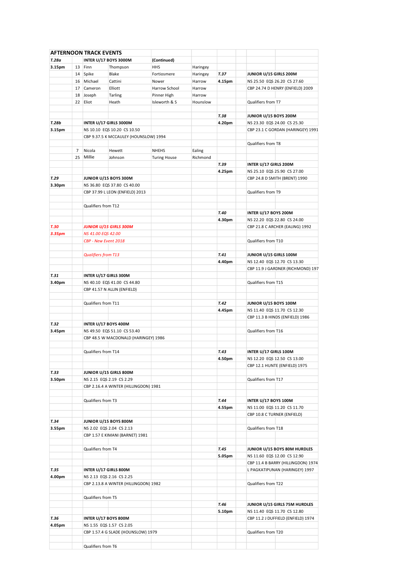|        |                | <b>AFTERNOON TRACK EVENTS</b> |                                       |                     |          |        |                              |                                    |
|--------|----------------|-------------------------------|---------------------------------------|---------------------|----------|--------|------------------------------|------------------------------------|
| T.28a  |                |                               | INTER U/17 BOYS 3000M                 | (Continued)         |          |        |                              |                                    |
| 3.15pm | 13             | Finn                          | Thompson                              | <b>HHS</b>          | Haringey |        |                              |                                    |
|        |                | 14 Spike                      | Blake                                 | Fortiosmere         | Haringey | T.37   | JUNIOR U/15 GIRLS 200M       |                                    |
|        |                | 16 Michael                    | Cattini                               | Nower               | Harrow   | 4.15pm |                              | NS 25.50 EQS 26.20 CS 27.60        |
|        | 17             | Cameron                       | Elliott                               | Harrow School       | Harrow   |        |                              | CBP 24.74 D HENRY (ENFIELD) 2009   |
|        | 18             | Joseph                        | Tarling                               | Pinner High         | Harrow   |        |                              |                                    |
|        | 22             | Eliot                         | Heath                                 | Isleworth & S       | Hounslow |        | Qualifiers from T7           |                                    |
|        |                |                               |                                       |                     |          |        |                              |                                    |
|        |                |                               |                                       |                     |          |        |                              |                                    |
|        |                |                               |                                       |                     |          | T.38   | <b>JUNIOR U/15 BOYS 200M</b> |                                    |
| T.28b  |                |                               | INTER U/17 GIRLS 3000M                |                     |          | 4.20pm |                              | NS 23.30 EQS 24.00 CS 25.30        |
| 3.15pm |                |                               | NS 10.10 EQS 10.20 CS 10.50           |                     |          |        |                              | CBP 23.1 C GORDAN (HARINGEY) 1991  |
|        |                |                               | CBP 9.37.5 K MCCAULEY (HOUNSLOW) 1994 |                     |          |        |                              |                                    |
|        |                |                               |                                       |                     |          |        | Qualifiers from T8           |                                    |
|        | $\overline{7}$ | Nicola                        | Hewett                                | <b>NHEHS</b>        | Ealing   |        |                              |                                    |
|        | 25             | Millie                        | Johnson                               | <b>Turing House</b> | Richmond |        |                              |                                    |
|        |                |                               |                                       |                     |          | T.39   | INTER U/17 GIRLS 200M        |                                    |
|        |                |                               |                                       |                     |          | 4.25pm |                              | NS 25.10 EQS 25.90 CS 27.00        |
| T.29   |                |                               | JUNIOR U/15 BOYS 300M                 |                     |          |        |                              | CBP 24.8 D SMITH (BRENT) 1990      |
| 3.30pm |                |                               | NS 36.80 EQS 37.80 CS 40.00           |                     |          |        |                              |                                    |
|        |                |                               | CBP 37.99 L LEON (ENFIELD) 2013       |                     |          |        | Qualifiers from T9           |                                    |
|        |                |                               |                                       |                     |          |        |                              |                                    |
|        |                |                               |                                       |                     |          |        |                              |                                    |
|        |                | Qualifiers from T12           |                                       |                     |          |        |                              |                                    |
|        |                |                               |                                       |                     |          | T.40   | INTER U/17 BOYS 200M         |                                    |
|        |                |                               |                                       |                     |          | 4.30pm |                              | NS 22.20 EQS 22.80 CS 24.00        |
| T.30   |                |                               | <b>JUNIOR U/15 GIRLS 300M</b>         |                     |          |        |                              | CBP 21.8 C ARCHER (EALING) 1992    |
| 3.35pm |                | NS 41.00 EQS 42.00            |                                       |                     |          |        |                              |                                    |
|        |                |                               | CBP - New Event 2018                  |                     |          |        | Qualifiers from T10          |                                    |
|        |                |                               |                                       |                     |          |        |                              |                                    |
|        |                | <b>Qualifiers from T13</b>    |                                       |                     |          | T.41   | JUNIOR U/15 GIRLS 100M       |                                    |
|        |                |                               |                                       |                     |          | 4.40pm |                              | NS 12.40 EQS 12.70 CS 13.30        |
|        |                |                               |                                       |                     |          |        |                              | CBP 11.9 J GARDNER (RICHMOND) 197  |
| T.31   |                |                               | INTER U/17 GIRLS 300M                 |                     |          |        |                              |                                    |
| 3.40pm |                |                               | NS 40.10 EQS 41.00 CS 44.80           |                     |          |        | Qualifiers from T15          |                                    |
|        |                |                               |                                       |                     |          |        |                              |                                    |
|        |                |                               | CBP 41.57 N ALLIN (ENFIELD)           |                     |          |        |                              |                                    |
|        |                |                               |                                       |                     |          |        |                              |                                    |
|        |                | Qualifiers from T11           |                                       |                     |          | T.42   | <b>JUNIOR U/15 BOYS 100M</b> |                                    |
|        |                |                               |                                       |                     |          | 4.45pm |                              | NS 11.40 EQS 11.70 CS 12.30        |
|        |                |                               |                                       |                     |          |        |                              | CBP 11.3 B HINDS (ENFIELD) 1986    |
| T.32   |                |                               | INTER U/17 BOYS 400M                  |                     |          |        |                              |                                    |
| 3.45pm |                |                               | NS 49.50 EQS 51.10 CS 53.40           |                     |          |        | Qualifiers from T16          |                                    |
|        |                |                               | CBP 48.5 W MACDONALD (HARINGEY) 1986  |                     |          |        |                              |                                    |
|        |                |                               |                                       |                     |          |        |                              |                                    |
|        |                | Qualifiers from T14           |                                       |                     |          | T.43   | INTER U/17 GIRLS 100M        |                                    |
|        |                |                               |                                       |                     |          | 4.50pm |                              | NS 12.20 EQS 12.50 CS 13.00        |
|        |                |                               |                                       |                     |          |        |                              | CBP 12.1 HUNTE (ENFIELD) 1975      |
|        |                |                               |                                       |                     |          |        |                              |                                    |
| T.33   |                |                               | JUNIOR U/15 GIRLS 800M                |                     |          |        |                              |                                    |
| 3.50pm |                |                               | NS 2.15 EQS 2.19 CS 2.29              |                     |          |        | Qualifiers from T17          |                                    |
|        |                |                               | CBP 2.16.4 A WINTER (HILLINGDON) 1981 |                     |          |        |                              |                                    |
|        |                |                               |                                       |                     |          |        |                              |                                    |
|        |                | Qualifiers from T3            |                                       |                     |          | T.44   | INTER U/17 BOYS 100M         |                                    |
|        |                |                               |                                       |                     |          | 4.55pm |                              | NS 11.00 EQS 11.20 CS 11.70        |
|        |                |                               |                                       |                     |          |        | CBP 10.8 C TURNER (ENFIELD)  |                                    |
| T.34   |                |                               | JUNIOR U/15 BOYS 800M                 |                     |          |        |                              |                                    |
| 3.55pm |                |                               | NS 2.02 EQS 2.04 CS 2.13              |                     |          |        | Qualifiers from T18          |                                    |
|        |                |                               | CBP 1.57 E KIMANI (BARNET) 1981       |                     |          |        |                              |                                    |
|        |                |                               |                                       |                     |          |        |                              |                                    |
|        |                | Qualifiers from T4            |                                       |                     |          | T.45   |                              | JUNIOR U/15 BOYS 80M HURDLES       |
|        |                |                               |                                       |                     |          | 5.05pm |                              | NS 11.60 EQS 12.00 CS 12.90        |
|        |                |                               |                                       |                     |          |        |                              |                                    |
|        |                |                               |                                       |                     |          |        |                              | CBP 11.4 B BARRY (HILLINGDON) 1974 |
| T.35   |                |                               | INTER U/17 GIRLS 800M                 |                     |          |        |                              | L PAGKATIPUNAN (HARINGEY) 1997     |
| 4.00pm |                |                               | NS 2.13 EQS 2.16 CS 2.25              |                     |          |        |                              |                                    |
|        |                |                               | CBP 2.13.8 A WINTER (HILLINGDON) 1982 |                     |          |        | Qualifiers from T22          |                                    |
|        |                |                               |                                       |                     |          |        |                              |                                    |
|        |                | Qualifiers from T5            |                                       |                     |          |        |                              |                                    |
|        |                |                               |                                       |                     |          | T.46   |                              | JUNIOR U/15 GIRLS 75M HURDLES      |
|        |                |                               |                                       |                     |          | 5.10pm |                              | NS 11.40 EQS 11.70 CS 12.80        |
| T.36   |                |                               | INTER U/17 BOYS 800M                  |                     |          |        |                              | CBP 11.2 J DUFFIELD (ENFIELD) 1974 |
| 4.05pm |                |                               | NS 1.55 EQS 1.57 CS 2.05              |                     |          |        |                              |                                    |
|        |                |                               | CBP 1.57.4 G SLADE (HOUNSLOW) 1979    |                     |          |        | Qualifiers from T20          |                                    |
|        |                |                               |                                       |                     |          |        |                              |                                    |
|        |                |                               |                                       |                     |          |        |                              |                                    |
|        |                | Qualifiers from T6            |                                       |                     |          |        |                              |                                    |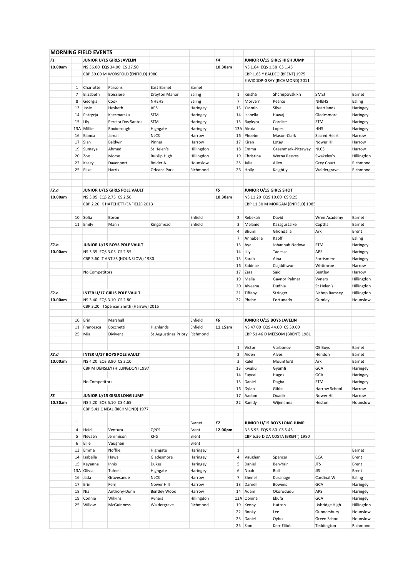|         |              | <b>MORNING FIELD EVENTS</b> |                                        |                               |            |         |                |                            |                                   |                      |            |
|---------|--------------|-----------------------------|----------------------------------------|-------------------------------|------------|---------|----------------|----------------------------|-----------------------------------|----------------------|------------|
| F1      |              |                             | JUNIOR U/15 GIRLS JAVELIN              |                               |            | F4      |                |                            | JUNIOR U/15 GIRLS HIGH JUMP       |                      |            |
| 10.00am |              |                             | NS 36.00 EQS 34.00 CS 27.50            |                               |            | 10.30am |                | NS 1.64 EQS 1.58 CS 1.45   |                                   |                      |            |
|         |              |                             |                                        |                               |            |         |                |                            |                                   |                      |            |
|         |              |                             | CBP 39.00 M WORSFOLD (ENFIELD) 1980    |                               |            |         |                |                            | CBP 1.63 Y BALDEO (BRENT) 1975    |                      |            |
|         |              |                             |                                        |                               |            |         |                |                            | E WIDDOP-GRAY (RICHMOND) 2011     |                      |            |
|         | 1            | Charlotte                   | Parsons                                | East Barnet                   | Barnet     |         |                |                            |                                   |                      |            |
|         | 7            | Elizabeth                   | <b>Boissiere</b>                       | Drayton Manor                 | Ealing     |         | 1              | Keisha                     | Shchepovskikh                     | SMSJ                 | Barnet     |
|         | 8            | Georgia                     | Cook                                   | <b>NHEHS</b>                  | Ealing     |         | $\overline{7}$ | Morvern                    | Pearce                            | <b>NHEHS</b>         | Ealing     |
|         |              | 13 Josie                    | Hesketh                                | APS                           | Haringey   |         | 13             | Yasmin                     | Silva                             | Heartlands           | Haringey   |
|         |              | 14 Patrycja                 | Kaczmarska                             | <b>STM</b>                    | Haringey   |         | 14             | Isabella                   | Hawaj                             | Gladesmore           | Haringey   |
|         |              | 15 Lily                     | Pereira Dos Santos                     | <b>STM</b>                    | Haringey   |         | 15             | Raykyra                    | Cordice                           | <b>STM</b>           | Haringey   |
|         |              | 13A Millie                  | Roxborough                             | Highgate                      | Haringey   |         |                | 13A Alexia                 | Lopes                             | <b>HHS</b>           | Haringey   |
|         |              | 16 Bianca                   |                                        | <b>NLCS</b>                   |            |         | 16             | Phoebe                     | Mason-Clark                       | Sacred Heart         |            |
|         |              |                             | Jamal                                  |                               | Harrow     |         |                |                            |                                   |                      | Harrow     |
|         | 17           | Sian                        | Baldwin                                | Pinner                        | Harrow     |         | 17             | Kiran                      | Lotay                             | Nower Hill           | Harrow     |
|         | 19           | Sumaya                      | Ahmed                                  | St Helen's                    | Hillingdon |         | 18             | Emma                       | Greenmark-Pittaway                | <b>NLCS</b>          | Harrow     |
|         |              | 20 Zoe                      | Morse                                  | <b>Ruislip High</b>           | Hillingdon |         | 19             | Christina                  | Werna Reeves                      | Swakeley's           | Hillingdon |
|         | 22           | Kasey                       | Davenport                              | <b>Bolder A</b>               | Hounslow   |         | 25             | Julia                      | Allen                             | Grey Court           | Richmond   |
|         | 25           | Elise                       | Harris                                 | Orleans Park                  | Richmond   |         | 26             | Holly                      | Keightly                          | Waldergrave          | Richmond   |
|         |              |                             |                                        |                               |            |         |                |                            |                                   |                      |            |
|         |              |                             |                                        |                               |            |         |                |                            |                                   |                      |            |
| F2.a    |              |                             | JUNIOR U/15 GIRLS POLE VAULT           |                               |            | F5      |                | JUNIOR U/15 GIRLS SHOT     |                                   |                      |            |
|         |              |                             |                                        |                               |            |         |                |                            |                                   |                      |            |
| 10.00am |              |                             | NS 3.05 EQS 2.75 CS 2.50               |                               |            | 10.30am |                | NS 11.20 EQS 10.60 CS 9.25 |                                   |                      |            |
|         |              |                             | CBP 2.20 K HATCHETT (ENFIELD) 2013     |                               |            |         |                |                            | CBP 11.50 M MORGAN (ENFIELD) 1985 |                      |            |
|         |              |                             |                                        |                               |            |         |                |                            |                                   |                      |            |
|         | 10           | Sofia                       | Boron                                  |                               | Enfield    |         | 2              | Rebekah                    | David                             | Wren Academy         | Barnet     |
|         |              | 11 Emily                    | Mann                                   | Kingsmead                     | Enfield    |         | 3              | Melanie                    | Kazagustaike                      | Copthall             | Barnet     |
|         |              |                             |                                        |                               |            |         | $\overline{4}$ | Bhumi                      | Ghondalia                         | Ark                  | Brent      |
|         |              |                             |                                        |                               |            |         | 7              | Annabelle                  | Kapff                             |                      | Ealing     |
|         |              |                             |                                        |                               |            |         |                |                            |                                   |                      |            |
| F2.b    |              |                             | JUNIOR U/15 BOYS POLE VAULT            |                               |            |         | 13             | Aya                        | Johannah Narkwa                   | <b>STM</b>           | Haringey   |
| 10.00am |              |                             | NS 3.35 EQS 3.05 CS 2.55               |                               |            |         | 14             | Lily                       | Tadesse                           | <b>APS</b>           | Haringey   |
|         |              |                             | CBP 3.60 T ANTISS (HOUNSLOW) 1980      |                               |            |         | 15             | Sarah                      | Aina                              | Fortismere           | Haringey   |
|         |              |                             |                                        |                               |            |         | 16             | Sabinae                    | Ciajddhwur                        | Whtimroe             | Harrow     |
|         |              | No Competitors              |                                        |                               |            |         | 17             | Zara                       | Said                              | Bentley              | Harrow     |
|         |              |                             |                                        |                               |            |         | 19             | Melia                      | Gaynor Palmer                     | Vyners               | Hillingdon |
|         |              |                             |                                        |                               |            |         | 20             | Alveena                    | Dudhia                            | St Helen's           | Hillingdon |
|         |              |                             |                                        |                               |            |         |                |                            |                                   |                      |            |
| F2.c    |              |                             | INTER U/17 GIRLS POLE VAULT            |                               |            |         | 21             | Tiffany                    | Stringer                          | <b>Bishop Ramsey</b> | Hillingdon |
| 10.00am |              |                             | NS 3.40 EQS 3.10 CS 2.80               |                               |            |         | 22             | Phebe                      | Fortunado                         | Gumley               | Hounslow   |
|         |              |                             | CBP 3.20 J Spencer Smith (Harrow) 2015 |                               |            |         |                |                            |                                   |                      |            |
|         |              |                             |                                        |                               |            |         |                |                            |                                   |                      |            |
|         |              | 10 Erin                     | Marshall                               |                               | Enfield    | F6      |                | JUNIOR U/15 BOYS JAVELIN   |                                   |                      |            |
|         | 11           | Francesca                   | Bocchetti                              | Highlands                     | Enfield    | 11.15am |                |                            | NS 47.00 EQS 44.00 CS 39.00       |                      |            |
|         |              | 25 Mia                      | Divivent                               | St Augustines Priory Richmond |            |         |                |                            | CBP 51.46 D MEESOM (BRENT) 1981   |                      |            |
|         |              |                             |                                        |                               |            |         |                |                            |                                   |                      |            |
|         |              |                             |                                        |                               |            |         |                |                            |                                   |                      |            |
|         |              |                             |                                        |                               |            |         | 1              | Victor                     | Varbonov                          | <b>QE Boys</b>       | Barnet     |
| F2.d    |              |                             | <b>INTER U/17 BOYS POLE VAULT</b>      |                               |            |         | $\overline{2}$ | Aiden                      | Alves                             | Hendon               | Barnet     |
| 10.00am |              |                             | NS 4.20 EQS 3.90 CS 3.10               |                               |            |         | 3              | Kalel                      | Mountford                         | Ark                  | Barnet     |
|         |              |                             | CBP M DENSLEY (HILLINGDON) 1997        |                               |            |         | 13             | Kwaku                      | Gyamfi                            | GCA                  | Haringey   |
|         |              |                             |                                        |                               |            |         | 14             | Euyeal                     | Hagos                             | GCA                  | Haringey   |
|         |              | No Competitors              |                                        |                               |            |         | 15             | Daniel                     | Dagba                             | <b>STM</b>           | Haringey   |
|         |              |                             |                                        |                               |            |         |                |                            |                                   |                      |            |
|         |              |                             |                                        |                               |            |         | 16             | Dylan                      | Gibbs                             | Harrow School        | Harrow     |
| F3      |              |                             | JUNIOR U/15 GIRLS LONG JUMP            |                               |            |         | 17             | Aadam                      | Quadir                            | Nower Hill           | Harrow     |
| 10.30am |              |                             | NS 5.20 EQS 5.10 CS 4.65               |                               |            |         | 22             | Ranidy                     | Wijenanna                         | Heston               | Hounslow   |
|         |              |                             | CBP 5.41 C NEAL (RICHMOND) 1977        |                               |            |         |                |                            |                                   |                      |            |
|         |              |                             |                                        |                               |            |         |                |                            |                                   |                      |            |
|         | $\mathbf{1}$ |                             |                                        |                               | Barnet     | F7      |                |                            | JUNIOR U/15 BOYS LONG JUMP        |                      |            |
|         | 4            | Heidi                       | Ventura                                | QPCS                          | Brent      | 12.00pm |                | NS 5.95 EQS 5.80 CS 5.45   |                                   |                      |            |
|         | 5            | Nevaeh                      |                                        | KHS                           |            |         |                |                            | CBP 6.36 D.DA COSTA (BRENT) 1980  |                      |            |
|         |              |                             | Jemmison                               |                               | Brent      |         |                |                            |                                   |                      |            |
|         | 6            | Ellie                       | Vaughan                                |                               | Brent      |         |                |                            |                                   |                      |            |
|         | 13           | Emma                        | Noffke                                 | Highgate                      | Haringey   |         | $\mathbf{1}$   |                            |                                   |                      | Barnet     |
|         | 14           | Isabella                    | Hawaj                                  | Gladesmore                    | Haringey   |         | $\overline{4}$ | Vaughan                    | Spencer                           | <b>CCA</b>           | Brent      |
|         | 15           | Keyanna                     | Innis                                  | Dukes                         | Haringey   |         | 5              | Daniel                     | Ben-Yair                          | <b>JFS</b>           | Brent      |
|         |              | 13A Olivia                  | Tufnell                                | Highgate                      | Haringey   |         | 6              | Noah                       | Bull                              | JfS                  | Brent      |
|         |              | 16 Jada                     | Gravesande                             | <b>NLCS</b>                   | Harrow     |         | $\overline{7}$ | Shenel                     | Kuranage                          | Cardinal W           | Ealing     |
|         |              |                             |                                        |                               |            |         |                |                            |                                   |                      |            |
|         |              | 17 Erin                     | Fern                                   | Nower Hill                    | Harrow     |         | 13             | Darnell                    | Bowens                            | GCA                  | Haringey   |
|         | 18           | Nia                         | Anthony-Dunn                           | <b>Bentley Wood</b>           | Harrow     |         | 14             | Adam                       | Okorodudu                         | APS                  | Haringey   |
|         | 19           | Connie                      | Wilkins                                | Vyners                        | Hillingdon |         | 13A            | Obinna                     | Ekufa                             | GCA                  | Haringey   |
|         |              | 25 Willow                   | McGuinness                             | Waldergrave                   | Richmond   |         | 19             | Kenny                      | Hattoh                            | Uxbridge High        | Hillingdon |
|         |              |                             |                                        |                               |            |         | 22             | Rooky                      | Lee                               | Gunnersbury          | Hounslow   |
|         |              |                             |                                        |                               |            |         | 23             | Daniel                     | Oybo                              | Green School         | Hounslow   |
|         |              |                             |                                        |                               |            |         |                |                            |                                   |                      |            |
|         |              |                             |                                        |                               |            |         |                | 25 Sam                     | Kerr Elliot                       | Teddington           | Richmond   |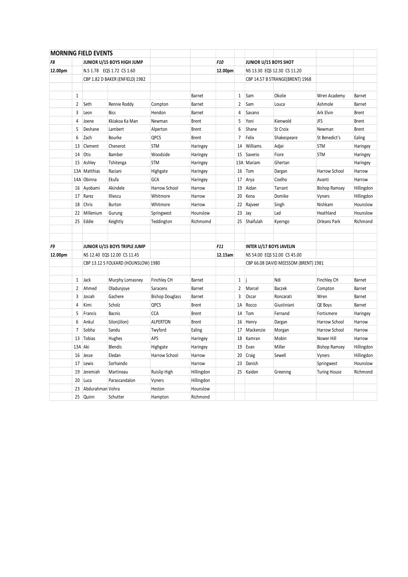|         |                | <b>MORNING FIELD EVENTS</b> |                                     |                        |               |         |                |                                |                                      |                      |               |
|---------|----------------|-----------------------------|-------------------------------------|------------------------|---------------|---------|----------------|--------------------------------|--------------------------------------|----------------------|---------------|
| F8      |                |                             | JUNIOR U/15 BOYS HIGH JUMP          |                        |               | F10     |                | JUNIOR U/15 BOYS SHOT          |                                      |                      |               |
| 12.00pm |                |                             | N.S 1.78 EQS 1.72 CS 1.60           |                        |               | 12.00pm |                |                                | NS 13.30 EQS 12.30 CS 11.20          |                      |               |
|         |                |                             | CBP 1.82 D BAKER (ENFIELD) 1982     |                        |               |         |                |                                | CBP 14.57 B STRANGE(BRENT) 1968      |                      |               |
|         |                |                             |                                     |                        |               |         |                |                                |                                      |                      |               |
|         | $\mathbf{1}$   |                             |                                     |                        | <b>Barnet</b> |         | 1              | Sam                            | Okolie                               | Wren Academy         | <b>Barnet</b> |
|         | $\overline{2}$ | Seth                        | Rennie Roddy                        | Compton                | <b>Barnet</b> |         | 2              | Sam                            | Louca                                | Ashmole              | <b>Barnet</b> |
|         | 3              | Leon                        | <b>Biss</b>                         | Hendon                 | <b>Barnet</b> |         | 4              | Savano                         |                                      | Ark Elvin            | <b>Brent</b>  |
|         | 4              | Joene                       | Kkiakoa Ka Man                      | Newman                 | <b>Brent</b>  |         | 5              | Yoni                           | Kienwold                             | <b>JFS</b>           | <b>Brent</b>  |
|         | 5              | Deshane                     | Lambert                             | Alperton               | <b>Brent</b>  |         | 6              | Shane                          | St Croix                             | Newman               | <b>Brent</b>  |
|         | 6              | Zach                        | Bourke                              | QPCS                   | <b>Brent</b>  |         | $\overline{7}$ | Felix                          | Shakespeare                          | St Benedict's        | Ealing        |
|         | 13             | Clement                     | Chenerot                            | <b>STM</b>             | Haringey      |         | 14             | Williams                       | Adjei                                | <b>STM</b>           | Haringey      |
|         | 14             | Otis                        | Bamber                              | Woodside               | Haringey      |         | 15             | Saverio                        | Fiore                                | <b>STM</b>           | Haringey      |
|         |                | 15 Ashley                   | Tshitenga                           | <b>STM</b>             | Haringey      |         | 13A            | Mariam                         | Ghertan                              |                      | Haringey      |
|         |                | 13A Matthias                | Raziani                             | Highgate               | Haringey      |         | 16             | Tom                            | Dargan                               | Harrow School        | Harrow        |
|         |                | 14A Obinna                  | Ekufa                               | GCA                    | Haringey      |         | 17             | Arya                           | Coelho                               | Avanti               | Harrow        |
|         |                | 16 Ayobami                  | Akindele                            | Harrow School          | Harrow        |         | 19             | Aidan                          | Tarrant                              | <b>Bishop Ramsey</b> | Hillingdon    |
|         |                | 17 Rarez                    | Illiescu                            | Whitmore               | Harrow        |         | 20             | Kena                           | Domike                               | Vyners               | Hillingdon    |
|         |                | 18 Chris                    | <b>Burton</b>                       | Whitmore               | Harrow        |         | 22             | Rajveer                        | Singh                                | Nishkam              | Hounslow      |
|         | 22             | Millenium                   | Gurung                              | Springwest             | Hounslow      |         | 23             | Jay                            | Lad                                  | Heathland            | Hounslow      |
|         |                | 25 Eddie                    | Keightly                            | Teddington             | Richmomd      |         | 25             | Shaifulah                      | Kyerngo                              | Orleans Park         | Richmond      |
|         |                |                             |                                     |                        |               |         |                |                                |                                      |                      |               |
|         |                |                             |                                     |                        |               |         |                |                                |                                      |                      |               |
| F9      |                |                             | JUNIOR U/15 BOYS TRIPLE JUMP        |                        |               | F11     |                | <b>INTER U/17 BOYS JAVELIN</b> |                                      |                      |               |
| 12.00pm |                |                             | NS 12.40 EQS 12.00 CS 11.45         |                        |               | 12.15am |                |                                | NS 54.00 EQS 52.00 CS 45.00          |                      |               |
|         |                |                             | CBP 13.12 S FOLKARD (HOUNSLOW) 1980 |                        |               |         |                |                                | CBP 66.08 DAVID MEESSOM (BRENT) 1981 |                      |               |
|         |                |                             |                                     |                        |               |         |                |                                |                                      |                      |               |
|         | $\mathbf{1}$   | Jack                        | Murphy Lomasney                     | <b>Finchley CH</b>     | Barnet        |         | 1              |                                | Ndi                                  | <b>Finchley CH</b>   | <b>Barnet</b> |
|         | $\overline{2}$ | Ahmed                       | Oladunjoye                          | Saracens               | Barnet        |         | 2              | Marcel                         | <b>Baczek</b>                        | Compton              | <b>Barnet</b> |
|         | 3              | Josiah                      | Gachere                             | <b>Bishop Douglass</b> | <b>Barnet</b> |         | 3              | Oscar                          | Roncarati                            | Wren                 | <b>Barnet</b> |
|         | 4              | Kimi                        | Scholz                              | QPCS                   | <b>Brent</b>  |         | 1A             | Rocco                          | Giustiniani                          | QE Boys              | <b>Barnet</b> |
|         | 5              | Francis                     | <b>Bacnis</b>                       | <b>CCA</b>             | <b>Brent</b>  |         | 14             | Tom                            | Fernand                              | Fortismere           | Haringey      |
|         | 6              | Ankul                       | Silon(Jilon)                        | <b>ALPERTON</b>        | <b>Brent</b>  |         | 16             | Henry                          | Dargan                               | Harrow School        | Harrow        |
|         | $\overline{7}$ | Sobha                       | Sandu                               | Twyford                | Ealing        |         | 17             | Mackenzie                      | Morgan                               | Harrow School        | Harrow        |
|         | 13             | Tobias                      | Hughes                              | APS                    | Haringey      |         | 18             | Kamran                         | Mobin                                | Nower Hill           | Harrow        |
|         | 13A Aki        |                             | <b>Blendis</b>                      | Highgate               | Haringey      |         | 19             | Evan                           | Miller                               | <b>Bishop Ramsey</b> | Hillingdon    |
|         |                | 16 Jesse                    | Eledan                              | Harrow School          | Harrow        |         | 20             | Craig                          | Sewell                               | Vyners               | Hillingdon    |
|         |                | 17 Lewis                    | Sorhaindo                           |                        | Harrow        |         | 23             | Danish                         |                                      | Springwest           | Hounslow      |
|         | 19             | Jeremiah                    | Martineau                           | Ruislip High           | Hillingdon    |         | 25             | Kaiden                         | Greening                             | <b>Turing House</b>  | Richmond      |
|         | 20             | Luca                        | Parascandalon                       | Vyners                 | Hillingdon    |         |                |                                |                                      |                      |               |
|         | 23             | Abdurahman Vohra            |                                     | Heston                 | Hounslow      |         |                |                                |                                      |                      |               |
|         |                | 25 Quinn                    | Schutter                            | Hampton                | Richmond      |         |                |                                |                                      |                      |               |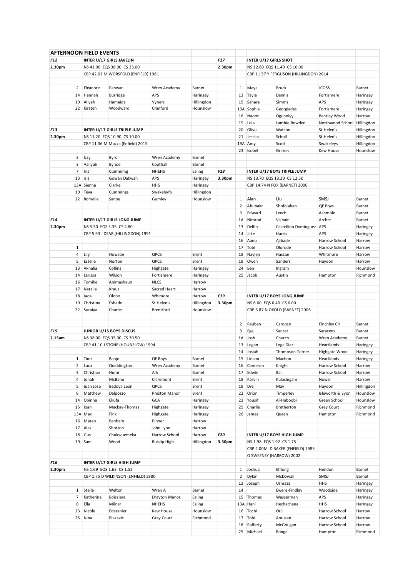|            |                | <b>AFTERNOON FIELD EVENTS</b> |                                     |               |              |                 |                |                              |                                        |                             |            |
|------------|----------------|-------------------------------|-------------------------------------|---------------|--------------|-----------------|----------------|------------------------------|----------------------------------------|-----------------------------|------------|
| F12        |                |                               | INTER U/17 GIRLS JAVELIN            |               |              | F <sub>17</sub> |                | <b>INTER U/17 GIRLS SHOT</b> |                                        |                             |            |
| 2.30pm     |                |                               | NS 41.00 EQS 38.00 CS 33.00         |               |              | 2.30pm          |                |                              | NS 12.80 EQS 11.40 CS 10.00            |                             |            |
|            |                |                               |                                     |               |              |                 |                |                              |                                        |                             |            |
|            |                |                               | CBP 42.02 M WORSFOLD (ENFIELD) 1981 |               |              |                 |                |                              | CBP 11.57 Y FERGUSON (HILLINGDON) 2014 |                             |            |
|            |                |                               |                                     |               |              |                 |                |                              |                                        |                             |            |
|            | 2              | Eleanore                      | Panwar                              | Wren Academy  | Barnet       |                 | 1              | Maya                         | Bruck                                  | <b>JCOSS</b>                | Barnet     |
|            | 14             | Hannah                        | Burridge                            | <b>APS</b>    | Haringey     |                 | 13             | Tayla                        | Dennis                                 | Fortismere                  | Haringey   |
|            | 19             | Aliyah                        | Hamaida                             | Vyners        | Hillingdon   |                 | 15             | Sahara                       | Simms                                  | APS                         | Haringey   |
|            |                | 22 Kirsten                    | Woodward                            | Cranford      | Hounslow     |                 |                | 13A Sophia                   | Georgiades                             | Fortismere                  | Haringey   |
|            |                |                               |                                     |               |              |                 | 16             | Naomi                        | Ogunniyy                               | <b>Bentley Wood</b>         | Harrow     |
|            |                |                               |                                     |               |              |                 | 19             | Lola                         | Lambie-Bowden                          | Northwood School Hillingdon |            |
| F13        |                |                               | INTER U/17 GIRLS TRIPLE JUMP        |               |              |                 | 20             | Olivia                       | Watson                                 | St Helen's                  | Hillingdon |
| 2.30pm     |                |                               |                                     |               |              |                 | 21             |                              |                                        | St Helen's                  |            |
|            |                |                               | NS 11.20 EQS 10.90 CS 10.00         |               |              |                 |                | Jessica                      | Scholl                                 |                             | Hillingdon |
|            |                |                               | CBP 11.36 M Mazza (Enfield) 2015    |               |              |                 |                | 19A Amy                      | Scott                                  | Swakeleys                   | Hillingdon |
|            |                |                               |                                     |               |              |                 | 23             | Isobel                       | Grimes                                 | <b>Kew House</b>            | Hounslow   |
|            |                | 2 Izzy                        | Byrd                                | Wren Academy  | Barnet       |                 |                |                              |                                        |                             |            |
|            | 3              | Aaliyah                       | Bynoe                               | Copthall      | Barnet       |                 |                |                              |                                        |                             |            |
|            | $\overline{7}$ | Iris                          | Cummimg                             | <b>NHEHS</b>  | Ealing       | F18             |                |                              | INTER U/17 BOYS TRIPLE JUMP            |                             |            |
|            | 13             | isis                          | Gowan Dakwah                        | <b>APS</b>    | Haringey     | 3.30pm          |                |                              | NS 13.70 EQS 13.20 CS 12.50            |                             |            |
|            |                | 13A Sienna                    | Clarke                              | <b>HHS</b>    | Haringey     |                 |                |                              | CBP 14.74 N FOX (BARNET) 2006          |                             |            |
|            |                |                               |                                     |               |              |                 |                |                              |                                        |                             |            |
|            | 19             | Teya                          | Cummings                            | Swakeley's    | Hillingdon   |                 |                |                              |                                        |                             |            |
|            |                | 22 Romelle                    | Sanoe                               | Gumley        | Hounslow     |                 | 1              | Alan                         | Liu                                    | SMSJ                        | Barnet     |
|            |                |                               |                                     |               |              |                 | 2              | Abubakr                      | Shofolahan                             | QE Boys                     | Barnet     |
|            |                |                               |                                     |               |              |                 | 3              | Edward                       | Leech                                  | Ashmole                     | Barnet     |
| F14        |                |                               | INTER U/17 GIRLS LONG JUMP          |               |              |                 | 1A             | Nimrod                       | Vishain                                | Archer                      | Barnet     |
| 2.30pm     |                |                               | NS 5.50 EQS 5.35 CS 4.80            |               |              |                 | 13             | Delfin                       | Castellino Dominguez   APS             |                             | Haringey   |
|            |                |                               | CBP 5.93 J DEAR (HILLINGDON) 1991   |               |              |                 | 14             | Jake                         | Harris                                 | <b>APS</b>                  | Haringey   |
|            |                |                               |                                     |               |              |                 | 16             | Aanu                         | Ajibade                                | Harrow School               | Harrow     |
|            |                |                               |                                     |               |              |                 |                |                              |                                        |                             |            |
|            | 1              |                               |                                     |               |              |                 | 17             | Tobi                         | Olorode                                | Harrow School               | Harrow     |
|            | 4              | Lily                          | Howson                              | QPCS          | <b>Brent</b> |                 | 18             | Naylen                       | Hassan                                 | Whitmore                    | Harrow     |
|            | 5              | Estelle                       | Norton                              | QPCS          | Brent        |                 | 19             | Owen                         | Sanders                                | Haydon                      | Harrow     |
|            | 13             | Aknalia                       | Collins                             | Highgate      | Haringey     |                 | 24             | Ben                          | Ingram                                 |                             | Hounslow   |
|            | 14             | Larissa                       | Wilson                              | Fortismere    | Haringey     |                 | 25             | Jacob                        | Austin                                 | Hampton                     | Richmond   |
|            | 16             | Tomike                        | Animashaun                          | <b>NLCS</b>   | Harrow       |                 |                |                              |                                        |                             |            |
|            | 17             | Natalia                       | Krauz                               | Sacred Heart  | Harrow       |                 |                |                              |                                        |                             |            |
|            | 18             | Jada                          | Olobo                               | Whimore       |              | F <sub>19</sub> |                |                              |                                        |                             |            |
|            |                |                               |                                     |               | Harrow       |                 |                |                              | INTER U/17 BOYS LONG JUMP              |                             |            |
|            | 19             | Christina                     | Fshade                              | St Helen's    | Hillingdon   | 3.30pm          |                | NS 6.60 EQS 6.40 CS 6.00     |                                        |                             |            |
|            |                | 22 Suraiya                    | Charles                             | Brentford     | Hounslow     |                 |                |                              | CBP 6.87 N OKOLO (BARNET) 2006         |                             |            |
|            |                |                               |                                     |               |              |                 |                |                              |                                        |                             |            |
|            |                |                               |                                     |               |              |                 | $\overline{2}$ | Reuben                       | Cardoso                                | Finchley CH                 | Barnet     |
| <b>F15</b> |                |                               | JUNIOR U/15 BOYS DISCUS             |               |              |                 | 3              | Ege                          | Sancar                                 | Saracens                    | Barnet     |
| 2.15am     |                |                               | NS 38.00 EQS 35.00 CS 30.50         |               |              |                 | 1A             | Josh                         | Church                                 | Wren Academy                | Barnet     |
|            |                |                               | CBP 41.10 J STONE (HOUNSLOW) 1994   |               |              |                 |                |                              |                                        | Heartlands                  |            |
|            |                |                               |                                     |               |              |                 | 13             | Logan                        | Loga Diaz                              |                             | Haringey   |
|            |                |                               |                                     |               |              |                 | 14             | Josiah                       | Thompson-Turner                        | Highgate Wood               | Haringey   |
|            | 1              | Timi                          | Banjo                               | QE Boys       | Barnet       |                 | 15             | Lincon                       | Machon                                 | Heartlands                  | Haringey   |
|            | $\overline{2}$ | Luca                          | Quiddington                         | Wren Academy  | Barnet       |                 | 16             | Cameron                      | Knight                                 | Harrow School               | Harrow     |
|            | 3              | Christian                     | Humi                                | Ark           | Barnet       |                 | 17             | Edwin                        | Bai                                    | Harrow School               | Harrow     |
|            | 4              | Jonah                         | McBane                              | Claremont     | Brent        |                 | 18             | Karvin                       | Kulasingam                             | Nower                       | Harrow     |
|            | 5              | Juan Jose                     | Bedoya Leon                         | QPCS          | Brent        |                 | 19             | Dre                          | May                                    | Haydon                      | Hillingdon |
|            | 6              | Matthew                       | Dalpozzo                            | Preston Manor | Brent        |                 | 22             | Orion                        | Timperley                              | Isleworth & Syon            | Hounslow   |
|            |                |                               |                                     |               |              |                 |                |                              |                                        |                             |            |
|            | 14             | Obinna                        | Ekufa                               | GCA           | Haringey     |                 | 23             | Yousif                       | Al-Haboobi                             | Green School                | Hounslow   |
|            | 15             | loan                          | Mackay-Thomas                       | Highgate      | Haringey     |                 | 25             | Charlie                      | Bretherton                             | Grey Court                  | Richmond   |
|            |                | 13A Max                       | Fink                                | Highgate      | Haringey     |                 | 26             | James                        | Queen                                  | Hampton                     | Richmond   |
|            |                | 16 Mateo                      | Benham                              | Pinner        | Harrow       |                 |                |                              |                                        |                             |            |
|            | 17             | Alex                          | Shotton                             | John Lyon     | Harrow       |                 |                |                              |                                        |                             |            |
|            | 18             | Gus                           | Chukwuemeka                         | Harrow School | Harrow       | <b>F20</b>      |                |                              | INTER U/17 BOYS HIGH JUMP              |                             |            |
|            |                | 19 Sam                        | Wood                                | Ruislip High  | Hillingdon   | 3.30pm          |                | NS 1.98 EQS 1.92 CS 1.75     |                                        |                             |            |
|            |                |                               |                                     |               |              |                 |                |                              |                                        |                             |            |
|            |                |                               |                                     |               |              |                 |                |                              | CBP 2.00M D BAKER (ENFIELD) 1983       |                             |            |
|            |                |                               |                                     |               |              |                 |                |                              | O SWEENEY (HARROW) 2002                |                             |            |
| F16        |                |                               | INTER U/17 GIRLS HIGH JUMP          |               |              |                 |                |                              |                                        |                             |            |
| 2.30pm     |                |                               | NS 1.69 EQS 1.63 CS 1.52            |               |              |                 | $\mathbf{1}$   | Joshua                       | Effiong                                | Hendon                      | Barnet     |
|            |                |                               | CBP 1.75 D WILKINSON (ENFIELD) 1980 |               |              |                 | $\overline{2}$ | Dylan                        | McDowall                               | SMSJ                        | Barnet     |
|            |                |                               |                                     |               |              |                 | 13             | Joseph                       | Urmaza                                 | <b>HHS</b>                  | Haringey   |
|            | $\mathbf{1}$   | Stella                        | Welton                              | Wren A        | Barnet       |                 | 14             |                              | Ewens-Findlay                          | Woodside                    | Haringey   |
|            |                |                               |                                     |               |              |                 |                |                              |                                        |                             |            |
|            | 7              | Katherine                     | Boissiere                           | Drayton Manor | Ealing       |                 | 15             | Thomas                       | Wasserman                              | APS                         | Haringey   |
|            | 8              | Ella                          | Milner                              | <b>NHEHS</b>  | Ealing       |                 |                | 13A Hani                     | Hechachena                             | <b>HHS</b>                  | Haringey   |
|            | 23             | Nicole                        | Edetanier                           | Kew House     | Hounslow     |                 | 16             | Tochi                        | Orji                                   | Harrow School               | Harrow     |
|            |                | 25 Nina                       | Blazevic                            | Grey Court    | Richmond     |                 | 17             | Tobi                         | Amusan                                 | Harrow School               | Harrow     |
|            |                |                               |                                     |               |              |                 | 18             | Rafferty                     | McGougan                               | Harrow School               | Harrow     |
|            |                |                               |                                     |               |              |                 |                | 25 Michael                   | Ronga                                  | Hampton                     | Richmond   |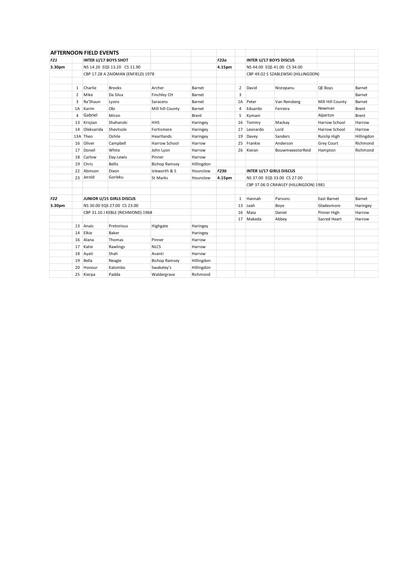|            |                         | <b>AFTERNOON FIELD EVENTS</b> |                                    |                      |            |        |    |                                       |                                     |                  |            |
|------------|-------------------------|-------------------------------|------------------------------------|----------------------|------------|--------|----|---------------------------------------|-------------------------------------|------------------|------------|
| <b>F21</b> |                         | <b>INTER U/17 BOYS SHOT</b>   |                                    |                      |            | F23a   |    | <b>INTER U/17 BOYS DISCUS</b>         |                                     |                  |            |
| 3.30pm     |                         |                               | NS 14.20 EQS 13.20 CS 11.90        |                      |            | 4.15pm |    | NS 44.00 EQS 41.00 CS 34.00           |                                     |                  |            |
|            |                         |                               | CBP 17.28 A ZAIDMAN (ENFIELD) 1978 |                      |            |        |    |                                       | CBP 49.02 S SZABLEWSKI (HILLINGDON) |                  |            |
|            |                         |                               |                                    |                      |            |        |    |                                       |                                     |                  |            |
|            | 1                       | Charlie                       | <b>Brooks</b>                      | Archer               | Barnet     |        | 2  | David                                 | Nistopanu                           | QE Boys          | Barnet     |
|            | $\overline{2}$          | Mike                          | Da Silva                           | Finchley CH          | Barnet     |        | 3  |                                       |                                     |                  | Barnet     |
|            | 3                       | Ra'Shaun                      | Lyons                              | Saracens             | Barnet     |        | 1A | Peter                                 | Van Rensberg                        | Mill Hill County | Barnet     |
|            | 1A                      | Karim                         | Obi                                | Mill hill County     | Barnet     |        | 4  | Eduardo                               | Ferreira                            | Newman           | Brent      |
|            | 4                       | Gabriel                       | Miron                              |                      | Brent      |        | 5  | Kymani                                |                                     | Alperton         | Brent      |
|            | 13                      | Krisjian                      | Shahanski                          | <b>HHS</b>           | Haringey   |        | 16 | Tommy                                 | Mackay                              | Harrow School    | Harrow     |
|            | 14                      | Oleksarida                    | Shevtsole                          | Fortismere           | Haringey   |        | 17 | Leonardo                              | Lord                                | Harrow School    | Harrow     |
|            |                         | 13A Theo                      | Oshile                             | Heartlands           | Haringey   |        | 19 | Davey                                 | Sanders                             | Ruislip High     | Hillingdon |
|            | 16                      | Oliver                        | Campbell                           | Harrow School        | Harrow     |        | 25 | Frankie                               | Anderson                            | Grey Court       | Richmond   |
|            | 17                      | Doneil                        | White                              | John Lyon            | Harrow     |        | 26 | Kieran                                | BouwmeeesterReid                    | Hampton          | Richmond   |
|            | 18                      | Carlow                        | Day-Lewis                          | Pinner               | Harrow     |        |    |                                       |                                     |                  |            |
|            | 19                      | Chris                         | <b>Bellis</b>                      | <b>Bishop Ramsey</b> | Hillingdon |        |    |                                       |                                     |                  |            |
|            | 22                      | Abinson                       | Dixon                              | Isleworth & S        | Hounslow   | F23b   |    |                                       | <b>INTER U/17 GIRLS DISCUS</b>      |                  |            |
|            | Gorleku<br>Jerold<br>23 |                               |                                    | St Marks             | Hounslow   | 4.15pm |    | NS 37.00 EQS 33.00 CS 27.00           |                                     |                  |            |
|            |                         |                               |                                    |                      |            |        |    | CBP 37.06 D CRAWLEY (HILLINGDON) 1981 |                                     |                  |            |
|            |                         |                               |                                    |                      |            |        |    |                                       |                                     |                  |            |
| <b>F22</b> |                         |                               | JUNIOR U/15 GIRLS DISCUS           |                      |            |        | 1  | Hannah                                | Parsons                             | East Barnet      | Barnet     |
| 3.30pm     |                         |                               | NS 30.00 EQS 27.00 CS 23.00        |                      |            |        | 13 | Leah                                  | Boye                                | Gladesmore       | Haringey   |
|            |                         |                               | CBP 31.10 J KEBLE (RICHMOND) 1968  |                      |            |        | 16 | Maia                                  | Daniel                              | Pinner High      | Harrow     |
|            |                         |                               |                                    |                      |            |        | 17 | Makeda                                | Abbey                               | Sacred Heart     | Harrow     |
|            | 13                      | Anais                         | Pretorious                         | Highgate             | Haringey   |        |    |                                       |                                     |                  |            |
|            | 14                      | Elkie                         | Baker                              |                      | Haringey   |        |    |                                       |                                     |                  |            |
|            | 16                      | Alana                         | Thomas                             | Pinner               | Harrow     |        |    |                                       |                                     |                  |            |
|            | 17                      | Katie                         | Rawlings                           | <b>NLCS</b>          | Harrow     |        |    |                                       |                                     |                  |            |
|            | 18                      | Ayati                         | Shah                               | Avanti               | Harrow     |        |    |                                       |                                     |                  |            |
|            | 19                      | Bella                         | Neagle                             | <b>Bishop Ramsey</b> | Hillingdon |        |    |                                       |                                     |                  |            |
|            | 20                      | Honour                        | Kalombo                            | Swakeley's           | Hillingdon |        |    |                                       |                                     |                  |            |
|            |                         | 25 Kierpa                     | Padda                              | Waldergrave          | Richmond   |        |    |                                       |                                     |                  |            |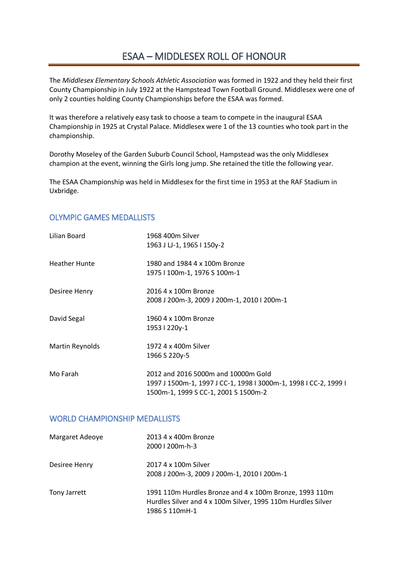## ESAA – MIDDLESEX ROLL OF HONOUR

The *Middlesex Elementary Schools Athletic Association* was formed in 1922 and they held their first County Championship in July 1922 at the Hampstead Town Football Ground. Middlesex were one of only 2 counties holding County Championships before the ESAA was formed.

It was therefore a relatively easy task to choose a team to compete in the inaugural ESAA Championship in 1925 at Crystal Palace. Middlesex were 1 of the 13 counties who took part in the championship.

Dorothy Moseley of the Garden Suburb Council School, Hampstead was the only Middlesex champion at the event, winning the Girls long jump. She retained the title the following year.

The ESAA Championship was held in Middlesex for the first time in 1953 at the RAF Stadium in Uxbridge.

## OLYMPIC GAMES MEDALLISTS

| Lilian Board         | 1968 400m Silver<br>1963 J LJ-1, 1965 I 150y-2                                                                                                  |
|----------------------|-------------------------------------------------------------------------------------------------------------------------------------------------|
| <b>Heather Hunte</b> | 1980 and 1984 4 x 100m Bronze<br>1975   100m-1, 1976 S 100m-1                                                                                   |
| Desiree Henry        | 2016 4 x 100m Bronze<br>2008 J 200m-3, 2009 J 200m-1, 2010 I 200m-1                                                                             |
| David Segal          | 1960 4 x 100m Bronze<br>1953   220y-1                                                                                                           |
| Martin Reynolds      | 1972 4 x 400m Silver<br>1966 S 220y-5                                                                                                           |
| Mo Farah             | 2012 and 2016 5000m and 10000m Gold<br>1997 J 1500m-1, 1997 J CC-1, 1998 I 3000m-1, 1998 I CC-2, 1999 I<br>1500m-1, 1999 S CC-1, 2001 S 1500m-2 |

## WORLD CHAMPIONSHIP MEDALLISTS

| Margaret Adeoye | 2013 4 x 400m Bronze<br>2000   200m-h-3                                                                                                   |
|-----------------|-------------------------------------------------------------------------------------------------------------------------------------------|
| Desiree Henry   | 2017 4 x 100m Silver<br>2008 J 200m-3, 2009 J 200m-1, 2010 I 200m-1                                                                       |
| Tony Jarrett    | 1991 110m Hurdles Bronze and 4 x 100m Bronze, 1993 110m<br>Hurdles Silver and 4 x 100m Silver, 1995 110m Hurdles Silver<br>1986 S 110mH-1 |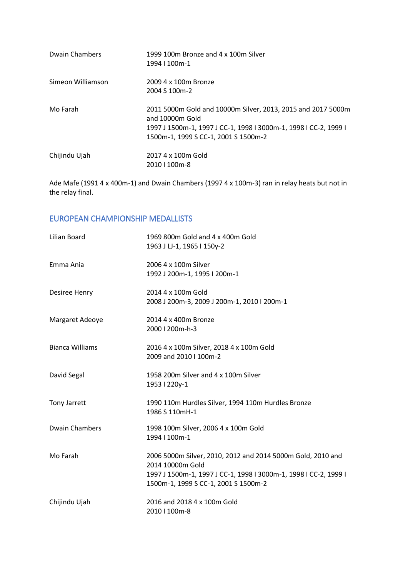| Dwain Chambers    | 1999 100m Bronze and 4 x 100m Silver<br>1994   100m-1                                                                                                                                       |
|-------------------|---------------------------------------------------------------------------------------------------------------------------------------------------------------------------------------------|
| Simeon Williamson | 2009 4 x 100m Bronze<br>2004 S 100 m-2                                                                                                                                                      |
| Mo Farah          | 2011 5000m Gold and 10000m Silver, 2013, 2015 and 2017 5000m<br>and 10000m Gold<br>1997 J 1500m-1, 1997 J CC-1, 1998 I 3000m-1, 1998 I CC-2, 1999 I<br>1500m-1, 1999 S CC-1, 2001 S 1500m-2 |
| Chijindu Ujah     | 2017 4 x 100m Gold<br>2010   100m-8                                                                                                                                                         |

Ade Mafe (1991 4 x 400m-1) and Dwain Chambers (1997 4 x 100m-3) ran in relay heats but not in the relay final.

## EUROPEAN CHAMPIONSHIP MEDALLISTS

| Lilian Board           | 1969 800m Gold and 4 x 400m Gold<br>1963 J LJ-1, 1965 I 150y-2                                                                                                                              |
|------------------------|---------------------------------------------------------------------------------------------------------------------------------------------------------------------------------------------|
| Emma Ania              | 2006 4 x 100m Silver<br>1992 J 200m-1, 1995 I 200m-1                                                                                                                                        |
| Desiree Henry          | 2014 4 x 100m Gold<br>2008 J 200m-3, 2009 J 200m-1, 2010 I 200m-1                                                                                                                           |
| Margaret Adeoye        | 2014 4 x 400m Bronze<br>2000   200m-h-3                                                                                                                                                     |
| <b>Bianca Williams</b> | 2016 4 x 100m Silver, 2018 4 x 100m Gold<br>2009 and 2010   100m-2                                                                                                                          |
| David Segal            | 1958 200m Silver and 4 x 100m Silver<br>1953   220y-1                                                                                                                                       |
| <b>Tony Jarrett</b>    | 1990 110m Hurdles Silver, 1994 110m Hurdles Bronze<br>1986 S 110mH-1                                                                                                                        |
| <b>Dwain Chambers</b>  | 1998 100m Silver, 2006 4 x 100m Gold<br>1994   100m-1                                                                                                                                       |
| Mo Farah               | 2006 5000m Silver, 2010, 2012 and 2014 5000m Gold, 2010 and<br>2014 10000m Gold<br>1997 J 1500m-1, 1997 J CC-1, 1998 I 3000m-1, 1998 I CC-2, 1999 I<br>1500m-1, 1999 S CC-1, 2001 S 1500m-2 |
| Chijindu Ujah          | 2016 and 2018 4 x 100m Gold<br>2010   100m-8                                                                                                                                                |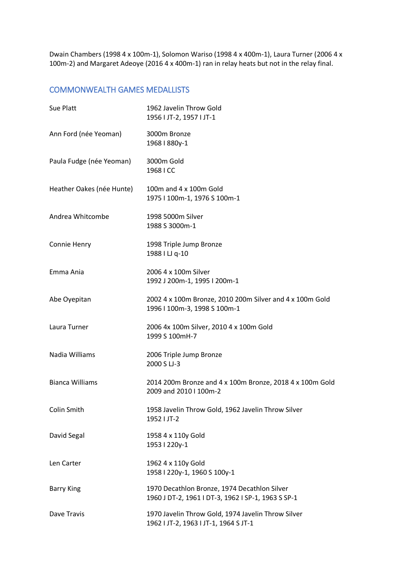Dwain Chambers (1998 4 x 100m-1), Solomon Wariso (1998 4 x 400m-1), Laura Turner (2006 4 x 100m-2) and Margaret Adeoye (2016 4 x 400m-1) ran in relay heats but not in the relay final.

## COMMONWEALTH GAMES MEDALLISTS

| Sue Platt                 | 1962 Javelin Throw Gold<br>1956   JT-2, 1957   JT-1                                                |
|---------------------------|----------------------------------------------------------------------------------------------------|
| Ann Ford (née Yeoman)     | 3000m Bronze<br>1968   880y-1                                                                      |
| Paula Fudge (née Yeoman)  | 3000m Gold<br>1968 I CC                                                                            |
| Heather Oakes (née Hunte) | 100m and 4 x 100m Gold<br>1975   100m-1, 1976 S 100m-1                                             |
| Andrea Whitcombe          | 1998 5000m Silver<br>1988 S 3000m-1                                                                |
| Connie Henry              | 1998 Triple Jump Bronze<br>1988 I LJ q-10                                                          |
| Emma Ania                 | 2006 4 x 100m Silver<br>1992 J 200m-1, 1995 I 200m-1                                               |
| Abe Oyepitan              | 2002 4 x 100m Bronze, 2010 200m Silver and 4 x 100m Gold<br>1996   100m-3, 1998 S 100m-1           |
| Laura Turner              | 2006 4x 100m Silver, 2010 4 x 100m Gold<br>1999 S 100mH-7                                          |
| Nadia Williams            | 2006 Triple Jump Bronze<br>2000 S LJ-3                                                             |
| <b>Bianca Williams</b>    | 2014 200m Bronze and 4 x 100m Bronze, 2018 4 x 100m Gold<br>2009 and 2010   100m-2                 |
| Colin Smith               | 1958 Javelin Throw Gold, 1962 Javelin Throw Silver<br>1952   JT-2                                  |
| David Segal               | 1958 4 x 110y Gold<br>1953   220y-1                                                                |
| Len Carter                | 1962 4 x 110y Gold<br>1958   220y-1, 1960 S 100y-1                                                 |
| <b>Barry King</b>         | 1970 Decathlon Bronze, 1974 Decathlon Silver<br>1960 J DT-2, 1961 I DT-3, 1962 I SP-1, 1963 S SP-1 |
| Dave Travis               | 1970 Javelin Throw Gold, 1974 Javelin Throw Silver<br>1962   JT-2, 1963   JT-1, 1964 S JT-1        |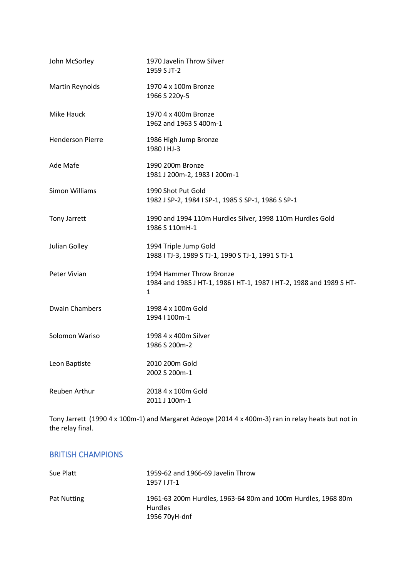| John McSorley           | 1970 Javelin Throw Silver<br>1959 S JT-2                                                             |
|-------------------------|------------------------------------------------------------------------------------------------------|
| Martin Reynolds         | 1970 4 x 100m Bronze<br>1966 S 220y-5                                                                |
| Mike Hauck              | 1970 4 x 400m Bronze<br>1962 and 1963 S 400m-1                                                       |
| <b>Henderson Pierre</b> | 1986 High Jump Bronze<br>1980   HJ-3                                                                 |
| Ade Mafe                | 1990 200m Bronze<br>1981 J 200m-2, 1983 I 200m-1                                                     |
| <b>Simon Williams</b>   | 1990 Shot Put Gold<br>1982 J SP-2, 1984 I SP-1, 1985 S SP-1, 1986 S SP-1                             |
| Tony Jarrett            | 1990 and 1994 110m Hurdles Silver, 1998 110m Hurdles Gold<br>1986 S 110mH-1                          |
| Julian Golley           | 1994 Triple Jump Gold<br>1988   TJ-3, 1989 S TJ-1, 1990 S TJ-1, 1991 S TJ-1                          |
| Peter Vivian            | 1994 Hammer Throw Bronze<br>1984 and 1985 J HT-1, 1986 I HT-1, 1987 I HT-2, 1988 and 1989 S HT-<br>1 |
| <b>Dwain Chambers</b>   | 1998 4 x 100m Gold<br>1994   100m-1                                                                  |
| Solomon Wariso          | 1998 4 x 400m Silver<br>1986 S 200m-2                                                                |
| Leon Baptiste           | 2010 200m Gold<br>2002 S 200m-1                                                                      |
| <b>Reuben Arthur</b>    | 2018 4 x 100m Gold<br>2011 J 100m-1                                                                  |

Tony Jarrett (1990 4 x 100m-1) and Margaret Adeoye (2014 4 x 400m-3) ran in relay heats but not in the relay final.

## BRITISH CHAMPIONS

| Sue Platt          | 1959-62 and 1966-69 Javelin Throw<br>$1957$ JT-1                                                |
|--------------------|-------------------------------------------------------------------------------------------------|
| <b>Pat Nutting</b> | 1961-63 200m Hurdles, 1963-64 80m and 100m Hurdles, 1968 80m<br><b>Hurdles</b><br>1956 70yH-dnf |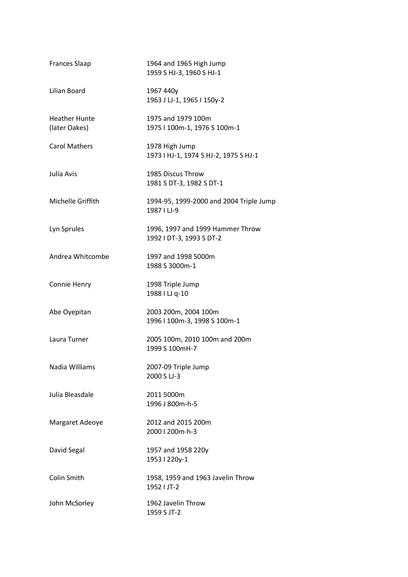| <b>Frances Slaap</b>                  | 1964 and 1965 High Jump<br>1959 S HJ-3, 1960 S HJ-1          |
|---------------------------------------|--------------------------------------------------------------|
| Lilian Board                          | 1967 440y<br>1963 J LJ-1, 1965 I 150y-2                      |
| <b>Heather Hunte</b><br>(later Oakes) | 1975 and 1979 100m<br>1975   100m-1, 1976 S 100m-1           |
| <b>Carol Mathers</b>                  | 1978 High Jump<br>1973   HJ-1, 1974 S HJ-2, 1975 S HJ-1      |
| Julia Avis                            | 1985 Discus Throw<br>1981 S DT-3, 1982 S DT-1                |
| Michelle Griffith                     | 1994-95, 1999-2000 and 2004 Triple Jump<br>1987   LJ-9       |
| Lyn Sprules                           | 1996, 1997 and 1999 Hammer Throw<br>1992   DT-3, 1993 S DT-2 |
| Andrea Whitcombe                      | 1997 and 1998 5000m<br>1988 S 3000m-1                        |
| Connie Henry                          | 1998 Triple Jump<br>1988 I LJ q-10                           |
| Abe Oyepitan                          | 2003 200m, 2004 100m<br>1996   100m-3, 1998 S 100m-1         |
| Laura Turner                          | 2005 100m, 2010 100m and 200m<br>1999 S 100mH-7              |
| Nadia Williams                        | 2007-09 Triple Jump<br>2000 S LJ-3                           |
| Julia Bleasdale                       | 2011 5000m<br>1996 J 800m-h-5                                |
| Margaret Adeoye                       | 2012 and 2015 200m<br>2000   200m-h-3                        |
| David Segal                           | 1957 and 1958 220y<br>1953   220y-1                          |
| Colin Smith                           | 1958, 1959 and 1963 Javelin Throw<br>1952   JT-2             |
| John McSorley                         | 1962 Javelin Throw<br>1959 S JT-2                            |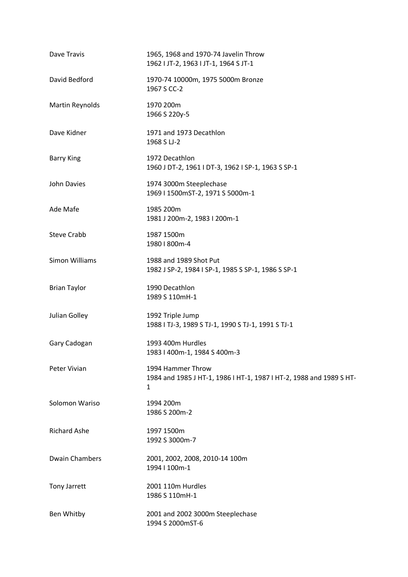| Dave Travis            | 1965, 1968 and 1970-74 Javelin Throw<br>1962   JT-2, 1963   JT-1, 1964 S JT-1                 |
|------------------------|-----------------------------------------------------------------------------------------------|
| David Bedford          | 1970-74 10000m, 1975 5000m Bronze<br>1967 S CC-2                                              |
| <b>Martin Reynolds</b> | 1970 200m<br>1966 S 220y-5                                                                    |
| Dave Kidner            | 1971 and 1973 Decathlon<br>1968 S LJ-2                                                        |
| <b>Barry King</b>      | 1972 Decathlon<br>1960 J DT-2, 1961 I DT-3, 1962 I SP-1, 1963 S SP-1                          |
| John Davies            | 1974 3000m Steeplechase<br>1969   1500mST-2, 1971 S 5000m-1                                   |
| Ade Mafe               | 1985 200m<br>1981 J 200m-2, 1983 I 200m-1                                                     |
| <b>Steve Crabb</b>     | 1987 1500m<br>1980   800m-4                                                                   |
| <b>Simon Williams</b>  | 1988 and 1989 Shot Put<br>1982 J SP-2, 1984 I SP-1, 1985 S SP-1, 1986 S SP-1                  |
| <b>Brian Taylor</b>    | 1990 Decathlon<br>1989 S 110mH-1                                                              |
| Julian Golley          | 1992 Triple Jump<br>1988   TJ-3, 1989 S TJ-1, 1990 S TJ-1, 1991 S TJ-1                        |
| Gary Cadogan           | 1993 400m Hurdles<br>1983   400m-1, 1984 S 400m-3                                             |
| Peter Vivian           | 1994 Hammer Throw<br>1984 and 1985 J HT-1, 1986 I HT-1, 1987 I HT-2, 1988 and 1989 S HT-<br>1 |
| Solomon Wariso         | 1994 200m<br>1986 S 200m-2                                                                    |
| <b>Richard Ashe</b>    | 1997 1500m<br>1992 S 3000m-7                                                                  |
| <b>Dwain Chambers</b>  | 2001, 2002, 2008, 2010-14 100m<br>1994   100m-1                                               |
| <b>Tony Jarrett</b>    | 2001 110m Hurdles<br>1986 S 110mH-1                                                           |
| Ben Whitby             | 2001 and 2002 3000m Steeplechase<br>1994 S 2000mST-6                                          |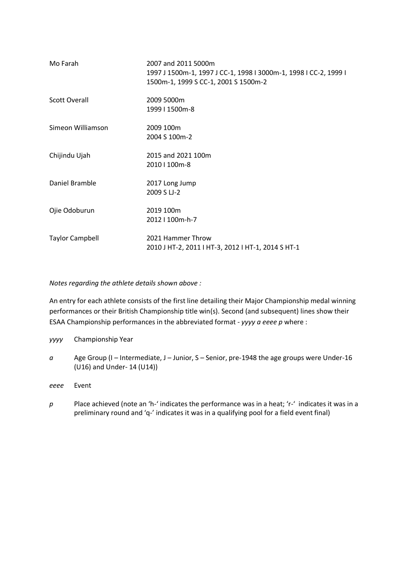| Mo Farah               | 2007 and 2011 5000m<br>1997 J 1500m-1, 1997 J CC-1, 1998 I 3000m-1, 1998 I CC-2, 1999 I<br>1500m-1, 1999 S CC-1, 2001 S 1500m-2 |
|------------------------|---------------------------------------------------------------------------------------------------------------------------------|
| Scott Overall          | 2009 5000m<br>1999   1500m-8                                                                                                    |
| Simeon Williamson      | 2009 100m<br>2004 S 100m-2                                                                                                      |
| Chijindu Ujah          | 2015 and 2021 100m<br>2010   100m-8                                                                                             |
| Daniel Bramble         | 2017 Long Jump<br>2009 S LJ-2                                                                                                   |
| Ojie Odoburun          | 2019 100m<br>2012   100m-h-7                                                                                                    |
| <b>Taylor Campbell</b> | 2021 Hammer Throw<br>2010 J HT-2, 2011 I HT-3, 2012 I HT-1, 2014 S HT-1                                                         |

*Notes regarding the athlete details shown above :*

An entry for each athlete consists of the first line detailing their Major Championship medal winning performances or their British Championship title win(s). Second (and subsequent) lines show their ESAA Championship performances in the abbreviated format - *yyyy a eeee p* where :

*yyyy* Championship Year

*a* Age Group (I – Intermediate, J – Junior, S – Senior, pre-1948 the age groups were Under-16 (U16) and Under- 14 (U14))

*eeee* Event

*p* Place achieved (note an 'h-' indicates the performance was in a heat; 'r-' indicates it was in a preliminary round and 'q-' indicates it was in a qualifying pool for a field event final)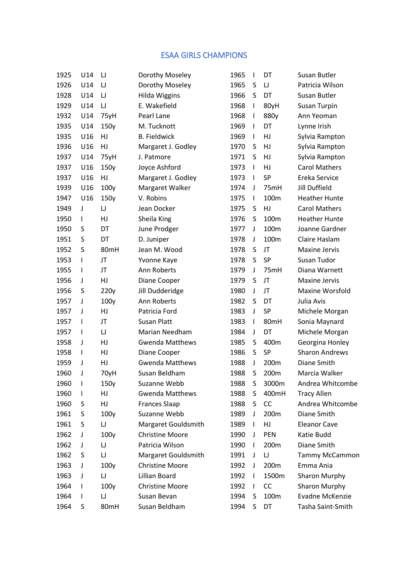## ESAA GIRLS CHAMPIONS

| 1925 | U14          | IJ     | Dorothy Moseley        | 1965 | $\mathsf{I}$ | DT    | Susan Butler          |
|------|--------------|--------|------------------------|------|--------------|-------|-----------------------|
| 1926 | U14          | IJ     | Dorothy Moseley        | 1965 | S            | IJ    | Patricia Wilson       |
| 1928 | U14          | IJ     | <b>Hilda Wiggins</b>   | 1966 | S            | DT    | Susan Butler          |
| 1929 | U14          | $\cup$ | E. Wakefield           | 1968 | $\mathbf{I}$ | 80yH  | Susan Turpin          |
| 1932 | U14          | 75yH   | Pearl Lane             | 1968 | $\mathbf{I}$ | 880y  | Ann Yeoman            |
| 1935 | U14          | 150y   | M. Tucknott            | 1969 | $\mathsf{I}$ | DT    | Lynne Irish           |
| 1935 | U16          | HJ     | <b>B.</b> Fieldwick    | 1969 | $\mathsf{I}$ | HJ    | Sylvia Rampton        |
| 1936 | U16          | HJ     | Margaret J. Godley     | 1970 | S            | HJ    | Sylvia Rampton        |
| 1937 | U14          | 75yH   | J. Patmore             | 1971 | S            | HJ    | Sylvia Rampton        |
| 1937 | U16          | 150y   | Joyce Ashford          | 1973 | $\mathbf{I}$ | HJ    | <b>Carol Mathers</b>  |
| 1937 | U16          | HJ     | Margaret J. Godley     | 1973 | $\mathbf{I}$ | SP    | Ereka Service         |
| 1939 | U16          | 100y   | Margaret Walker        | 1974 | J            | 75mH  | <b>Jill Duffield</b>  |
| 1947 | U16          | 150y   | V. Robins              | 1975 | $\mathsf{I}$ | 100m  | <b>Heather Hunte</b>  |
| 1949 | J            | $\cup$ | Jean Docker            | 1975 | S            | HJ    | <b>Carol Mathers</b>  |
| 1950 | $\mathsf{I}$ | HJ     | Sheila King            | 1976 | S            | 100m  | <b>Heather Hunte</b>  |
| 1950 | S            | DT     | June Prodger           | 1977 | J            | 100m  | Joanne Gardner        |
| 1951 | S            | DT     | D. Juniper             | 1978 | J            | 100m  | Claire Haslam         |
| 1952 | S            | 80mH   | Jean M. Wood           | 1978 | S            | JT    | <b>Maxine Jervis</b>  |
| 1953 | I            | JT     | Yvonne Kaye            | 1978 | S            | SP    | Susan Tudor           |
| 1955 | I            | JT     | Ann Roberts            | 1979 | J            | 75mH  | Diana Warnett         |
| 1956 | J            | HJ     | Diane Cooper           | 1979 | S            | JT    | <b>Maxine Jervis</b>  |
| 1956 | S            | 220y   | Jill Dudderidge        | 1980 | J            | JT    | Maxine Worsfold       |
| 1957 | J            | 100y   | Ann Roberts            | 1982 | S            | DT    | Julia Avis            |
| 1957 | J            | HJ     | Patricia Ford          | 1983 | J            | SP    | Michele Morgan        |
| 1957 | $\mathsf{l}$ | JT     | <b>Susan Platt</b>     | 1983 | $\mathsf{I}$ | 80mH  | Sonia Maynard         |
| 1957 | I            | $\cup$ | Marian Needham         | 1984 | J            | DT    | Michele Morgan        |
| 1958 | J            | HJ     | <b>Gwenda Matthews</b> | 1985 | S            | 400m  | Georgina Honley       |
| 1958 | I            | HJ     | Diane Cooper           | 1986 | S            | SP    | <b>Sharon Andrews</b> |
| 1959 | J            | HJ     | <b>Gwenda Matthews</b> | 1988 | J            | 200m  | Diane Smith           |
| 1960 | J            | 70yH   | Susan Beldham          | 1988 | S            | 200m  | Marcia Walker         |
| 1960 | $\mathsf{l}$ | 150y   | Suzanne Webb           | 1988 | S            | 3000m | Andrea Whitcombe      |
| 1960 | L            | HJ     | <b>Gwenda Matthews</b> | 1988 | S            | 400mH | <b>Tracy Allen</b>    |
| 1960 | S            | HJ     | <b>Frances Slaap</b>   | 1988 | S            | CC    | Andrea Whitcombe      |
| 1961 | S            | 100y   | Suzanne Webb           | 1989 | J            | 200m  | Diane Smith           |
| 1961 | S            | IJ     | Margaret Gouldsmith    | 1989 | $\mathbf{I}$ | HJ    | <b>Eleanor Cave</b>   |
| 1962 | J            | 100y   | <b>Christine Moore</b> | 1990 | J            | PEN   | Katie Budd            |
| 1962 | J            | IJ     | Patricia Wilson        | 1990 | $\mathbf{I}$ | 200m  | Diane Smith           |
| 1962 | S            | IJ     | Margaret Gouldsmith    | 1991 | J            | IJ    | <b>Tammy McCammon</b> |
| 1963 | J            | 100y   | <b>Christine Moore</b> | 1992 | J            | 200m  | Emma Ania             |
| 1963 | J            | IJ     | Lillian Board          | 1992 | $\mathbf{I}$ | 1500m | Sharon Murphy         |
| 1964 | I            | 100y   | <b>Christine Moore</b> | 1992 | $\mathbf{I}$ | CC    | Sharon Murphy         |
| 1964 | L            | IJ     | Susan Bevan            | 1994 | S            | 100m  | Evadne McKenzie       |
| 1964 | S            | 80mH   | Susan Beldham          | 1994 | S            | DT    | Tasha Saint-Smith     |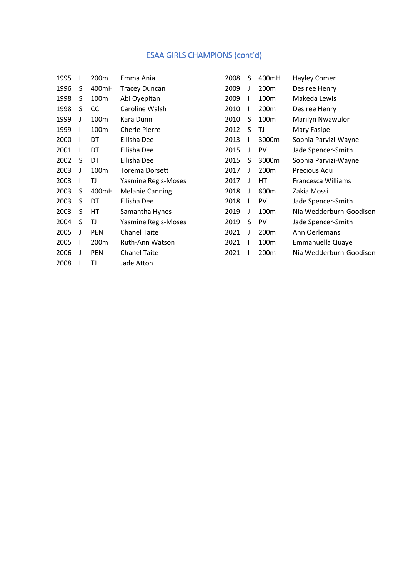## ESAA GIRLS CHAMPIONS (cont'd)

| 1995 |   | 200m       | Emma Ania                  | 2008 | S  | 400mH            | <b>Hayley Comer</b>     |
|------|---|------------|----------------------------|------|----|------------------|-------------------------|
| 1996 | S | 400mH      | <b>Tracey Duncan</b>       | 2009 | J  | 200m             | Desiree Henry           |
| 1998 | S | 100m       | Abi Oyepitan               | 2009 | L  | 100m             | Makeda Lewis            |
| 1998 | S | CC.        | Caroline Walsh             | 2010 | L  | 200m             | Desiree Henry           |
| 1999 | J | 100m       | Kara Dunn                  | 2010 | S  | 100m             | Marilyn Nwawulor        |
| 1999 |   | 100m       | <b>Cherie Pierre</b>       | 2012 | S  | TJ               | Mary Fasipe             |
| 2000 |   | DT         | Ellisha Dee                | 2013 | L  | 3000m            | Sophia Parvizi-Wayne    |
| 2001 |   | DT         | Ellisha Dee                | 2015 | J  | PV               | Jade Spencer-Smith      |
| 2002 | S | DT         | Ellisha Dee                | 2015 | S  | 3000m            | Sophia Parvizi-Wayne    |
| 2003 | J | 100m       | <b>Torema Dorsett</b>      | 2017 | J  | 200 <sub>m</sub> | Precious Adu            |
| 2003 |   | TJ         | <b>Yasmine Regis-Moses</b> | 2017 | J  | НT               | Francesca Williams      |
| 2003 | S | 400mH      | <b>Melanie Canning</b>     | 2018 | J  | 800 <sub>m</sub> | Zakia Mossi             |
| 2003 | S | DT         | Ellisha Dee                | 2018 | I. | PV               | Jade Spencer-Smith      |
| 2003 | S | НT         | Samantha Hynes             | 2019 | J  | 100m             | Nia Wedderburn-Goodison |
| 2004 | S | TJ         | Yasmine Regis-Moses        | 2019 | S  | PV               | Jade Spencer-Smith      |
| 2005 | J | <b>PEN</b> | <b>Chanel Taite</b>        | 2021 | J  | 200m             | Ann Oerlemans           |
| 2005 |   | 200m       | Ruth-Ann Watson            | 2021 |    | 100m             | Emmanuella Quaye        |
| 2006 |   | <b>PEN</b> | <b>Chanel Taite</b>        | 2021 |    | 200m             | Nia Wedderburn-Goodison |
| 2008 |   | TJ         | Jade Attoh                 |      |    |                  |                         |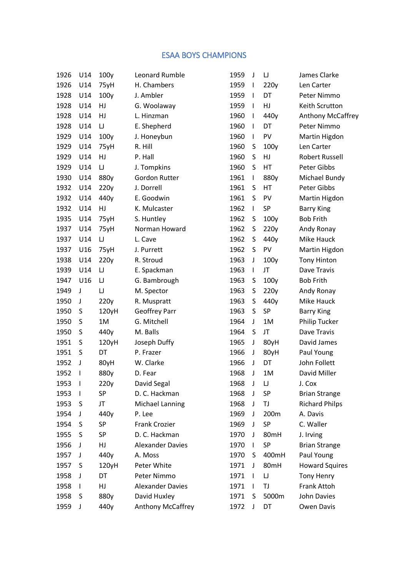## ESAA BOYS CHAMPIONS

| 1926 | U14                      | 100y     | Leonard Rumble          | 1959 | J            | IJ    | James Clarke             |
|------|--------------------------|----------|-------------------------|------|--------------|-------|--------------------------|
| 1926 | U14                      | 75yH     | H. Chambers             | 1959 | $\mathbf{I}$ | 220y  | Len Carter               |
| 1928 | U14                      | 100y     | J. Ambler               | 1959 | $\mathbf{I}$ | DT    | Peter Nimmo              |
| 1928 | U14                      | HJ       | G. Woolaway             | 1959 | $\mathbf{I}$ | HJ    | Keith Scrutton           |
| 1928 | U14                      | HJ       | L. Hinzman              | 1960 | $\mathbf{I}$ | 440y  | <b>Anthony McCaffrey</b> |
| 1928 | U14                      | IJ       | E. Shepherd             | 1960 | $\mathbf{I}$ | DT    | Peter Nimmo              |
| 1929 | U14                      | 100y     | J. Honeybun             | 1960 | $\mathbf{I}$ | PV    | Martin Higdon            |
| 1929 | U14                      | 75yH     | R. Hill                 | 1960 | S            | 100y  | Len Carter               |
| 1929 | U14                      | HJ       | P. Hall                 | 1960 | S            | HJ    | <b>Robert Russell</b>    |
| 1929 | U14                      | $\sqcup$ | J. Tompkins             | 1960 | S            | HT    | Peter Gibbs              |
| 1930 | U14                      | 880y     | Gordon Rutter           | 1961 | $\mathbf{I}$ | 880y  | Michael Bundy            |
| 1932 | U14                      | 220y     | J. Dorrell              | 1961 | S            | HT    | Peter Gibbs              |
| 1932 | U14                      | 440y     | E. Goodwin              | 1961 | S            | PV    | Martin Higdon            |
| 1932 | U14                      | HJ       | K. Mulcaster            | 1962 | $\mathbf{I}$ | SP    | <b>Barry King</b>        |
| 1935 | U14                      | 75yH     | S. Huntley              | 1962 | S            | 100y  | <b>Bob Frith</b>         |
| 1937 | U14                      | 75yH     | Norman Howard           | 1962 | S            | 220y  | Andy Ronay               |
| 1937 | U14                      | $\cup$   | L. Cave                 | 1962 | S            | 440y  | Mike Hauck               |
| 1937 | U16                      | 75yH     | J. Purrett              | 1962 | S            | PV    | Martin Higdon            |
| 1938 | U14                      | 220y     | R. Stroud               | 1963 | J            | 100y  | <b>Tony Hinton</b>       |
| 1939 | U14                      | $\cup$   | E. Spackman             | 1963 | $\mathbf{I}$ | JT    | Dave Travis              |
| 1947 | U16                      | $\cup$   | G. Bambrough            | 1963 | S            | 100y  | <b>Bob Frith</b>         |
| 1949 | J                        | $\sqcup$ | M. Spector              | 1963 | S            | 220y  | Andy Ronay               |
| 1950 | J                        | 220y     | R. Muspratt             | 1963 | S            | 440y  | Mike Hauck               |
| 1950 | S                        | 120yH    | Geoffrey Parr           | 1963 | S            | SP    | <b>Barry King</b>        |
| 1950 | S                        | 1M       | G. Mitchell             | 1964 | J            | 1M    | Philip Tucker            |
| 1950 | S                        | 440y     | M. Balls                | 1964 | S            | JT    | Dave Travis              |
| 1951 | S                        | 120yH    | Joseph Duffy            | 1965 | J            | 80yH  | David James              |
| 1951 | S                        | DT       | P. Frazer               | 1966 | J            | 80yH  | Paul Young               |
| 1952 | J                        | 80yH     | W. Clarke               | 1966 | J            | DT    | John Follett             |
| 1952 | $\mathsf{l}$             | 880y     | D. Fear                 | 1968 | J            | 1M    | David Miller             |
| 1953 | $\overline{\phantom{a}}$ | 220y     | David Segal             | 1968 | J            | IJ    | J. Cox                   |
| 1953 | $\mathbf{I}$             | SP       | D. C. Hackman           | 1968 | J            | SP    | <b>Brian Strange</b>     |
| 1953 | S                        | JT       | Michael Lanning         | 1968 | J            | TJ    | <b>Richard Philps</b>    |
| 1954 | J                        | 440y     | P. Lee                  | 1969 | J            | 200m  | A. Davis                 |
| 1954 | S                        | SP       | <b>Frank Crozier</b>    | 1969 | J            | SP    | C. Waller                |
| 1955 | S                        | SP       | D. C. Hackman           | 1970 | J            | 80mH  | J. Irving                |
| 1956 | J                        | HJ       | <b>Alexander Davies</b> | 1970 | I.           | SP    | <b>Brian Strange</b>     |
| 1957 | J                        | 440y     | A. Moss                 | 1970 | S            | 400mH | Paul Young               |
| 1957 | S                        | 120yH    | Peter White             | 1971 | J            | 80mH  | <b>Howard Squires</b>    |
| 1958 | J                        | DT       | Peter Nimmo             | 1971 | $\mathbf{I}$ | IJ    | <b>Tony Henry</b>        |
| 1958 | $\mathbf{I}$             | HJ       | <b>Alexander Davies</b> | 1971 | $\mathbf{I}$ | TJ    | Frank Attoh              |
| 1958 | S                        | 880y     | David Huxley            | 1971 | S            | 5000m | John Davies              |
| 1959 | J                        | 440y     | Anthony McCaffrey       | 1972 | J            | DT    | Owen Davis               |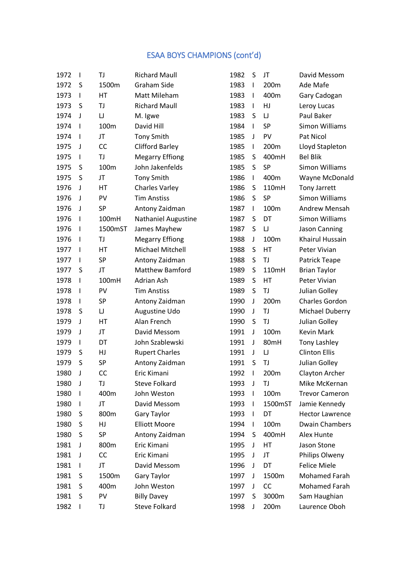## ESAA BOYS CHAMPIONS (cont'd)

| 1972 | $\mathsf{l}$ | TJ        | <b>Richard Maull</b>       | 1982 | S            | JT        | David Messom           |
|------|--------------|-----------|----------------------------|------|--------------|-----------|------------------------|
| 1972 | S            | 1500m     | <b>Graham Side</b>         | 1983 | $\mathbf{I}$ | 200m      | Ade Mafe               |
| 1973 | $\mathsf{l}$ | HT        | Matt Mileham               | 1983 | $\mathbf{I}$ | 400m      | Gary Cadogan           |
| 1973 | S            | TJ        | <b>Richard Maull</b>       | 1983 | $\mathbf{I}$ | HJ        | Leroy Lucas            |
| 1974 | J            | $\sqcup$  | M. Igwe                    | 1983 | S            | $\sqcup$  | Paul Baker             |
| 1974 | $\mathsf{l}$ | 100m      | David Hill                 | 1984 | $\mathbf{I}$ | SP        | Simon Williams         |
| 1974 | $\mathsf{l}$ | JT        | <b>Tony Smith</b>          | 1985 | J            | PV        | Pat Nicol              |
| 1975 | J            | <b>CC</b> | <b>Clifford Barley</b>     | 1985 | $\mathbf{I}$ | 200m      | Lloyd Stapleton        |
| 1975 | $\mathbf{I}$ | TJ        | <b>Megarry Effiong</b>     | 1985 | S            | 400mH     | <b>Bel Blik</b>        |
| 1975 | S            | 100m      | John Jakenfelds            | 1985 | S            | SP        | <b>Simon Williams</b>  |
| 1975 | S            | JT        | <b>Tony Smith</b>          | 1986 | T            | 400m      | Wayne McDonald         |
| 1976 | J            | HT        | <b>Charles Varley</b>      | 1986 | S            | 110mH     | Tony Jarrett           |
| 1976 | J            | PV        | <b>Tim Anstiss</b>         | 1986 | S            | <b>SP</b> | Simon Williams         |
| 1976 | J            | SP        | Antony Zaidman             | 1987 | $\mathbf{I}$ | 100m      | Andrew Mensah          |
| 1976 | I            | 100mH     | <b>Nathaniel Augustine</b> | 1987 | S            | DT        | <b>Simon Williams</b>  |
| 1976 | $\mathsf{l}$ | 1500mST   | James Mayhew               | 1987 | S            | $\cup$    | Jason Canning          |
| 1976 | $\mathbf{I}$ | TJ        | <b>Megarry Effiong</b>     | 1988 | J            | 100m      | Khairul Hussain        |
| 1977 | $\mathsf{l}$ | HT        | Michael Mitchell           | 1988 | S            | HT        | Peter Vivian           |
| 1977 | $\mathsf{l}$ | <b>SP</b> | Antony Zaidman             | 1988 | S            | TJ        | Patrick Teape          |
| 1977 | S            | JT        | <b>Matthew Bamford</b>     | 1989 | S            | 110mH     | <b>Brian Taylor</b>    |
| 1978 | $\mathbf{I}$ | 100mH     | Adrian Ash                 | 1989 | S            | HT        | Peter Vivian           |
| 1978 | $\mathsf{l}$ | PV        | <b>Tim Anstiss</b>         | 1989 | S            | TJ        | Julian Golley          |
| 1978 | $\mathsf{l}$ | <b>SP</b> | Antony Zaidman             | 1990 | J            | 200m      | Charles Gordon         |
| 1978 | S            | $\sqcup$  | Augustine Udo              | 1990 | J            | TJ        | Michael Duberry        |
| 1979 | J            | HT        | Alan French                | 1990 | S            | TJ        | Julian Golley          |
| 1979 | J            | JT        | David Messom               | 1991 | J            | 100m      | Kevin Mark             |
| 1979 | $\mathsf{l}$ | DT        | John Szablewski            | 1991 | J            | 80mH      | Tony Lashley           |
| 1979 | S            | HJ        | <b>Rupert Charles</b>      | 1991 | J            | IJ        | <b>Clinton Ellis</b>   |
| 1979 | S            | SP        | Antony Zaidman             | 1991 | S            | TJ        | Julian Golley          |
| 1980 | J            | <b>CC</b> | Eric Kimani                | 1992 | $\mathbf{I}$ | 200m      | Clayton Archer         |
| 1980 | J            | TJ        | <b>Steve Folkard</b>       | 1993 | J            | TJ        | Mike McKernan          |
| 1980 | I            | 400m      | John Weston                | 1993 | J.           | 100m      | <b>Trevor Cameron</b>  |
| 1980 | I            | JT        | David Messom               | 1993 | L            | 1500mST   | Jamie Kennedy          |
| 1980 | S            | 800m      | Gary Taylor                | 1993 | $\mathbf{I}$ | DT        | <b>Hector Lawrence</b> |
| 1980 | S            | HJ        | <b>Elliott Moore</b>       | 1994 | $\mathbf{I}$ | 100m      | <b>Dwain Chambers</b>  |
| 1980 | S            | SP        | Antony Zaidman             | 1994 | S            | 400mH     | Alex Hunte             |
| 1981 | J            | 800m      | Eric Kimani                | 1995 | J            | HT        | Jason Stone            |
| 1981 | J            | CC        | Eric Kimani                | 1995 | J            | JT        | Philips Olweny         |
| 1981 | L            | JT        | David Messom               | 1996 | J            | DT        | <b>Felice Miele</b>    |
| 1981 | S            | 1500m     | Gary Taylor                | 1997 | J            | 1500m     | Mohamed Farah          |
| 1981 | S            | 400m      | John Weston                | 1997 | J            | CC        | Mohamed Farah          |
| 1981 | S            | PV        | <b>Billy Davey</b>         | 1997 | S            | 3000m     | Sam Haughian           |
| 1982 | $\mathsf{I}$ | TJ        | <b>Steve Folkard</b>       | 1998 | J            | 200m      | Laurence Oboh          |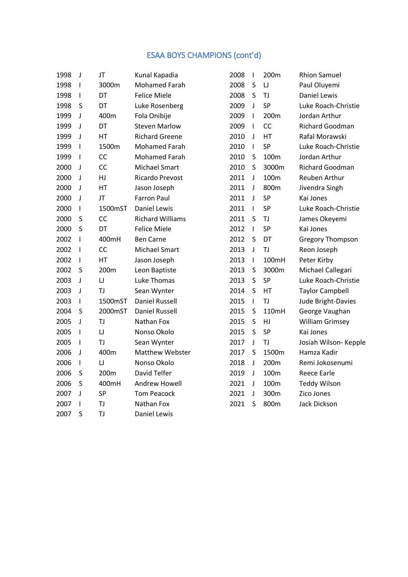## ESAA BOYS CHAMPIONS (cont'd)

| 1998 | J            | JT        | Kunal Kapadia           | 2008 | $\mathsf{I}$             | 200m      | <b>Rhion Samuel</b>     |
|------|--------------|-----------|-------------------------|------|--------------------------|-----------|-------------------------|
| 1998 | $\mathbf{I}$ | 3000m     | <b>Mohamed Farah</b>    | 2008 | S                        | $\cup$    | Paul Oluyemi            |
| 1998 | L            | DT        | <b>Felice Miele</b>     | 2008 | S                        | TJ        | <b>Daniel Lewis</b>     |
| 1998 | S            | DT        | Luke Rosenberg          | 2009 | $\mathsf J$              | SP        | Luke Roach-Christie     |
| 1999 | J            | 400m      | Fola Onibije            | 2009 | $\mathbf{I}$             | 200m      | Jordan Arthur           |
| 1999 | J            | DT        | <b>Steven Marlow</b>    | 2009 | $\overline{\phantom{a}}$ | CC        | Richard Goodman         |
| 1999 | J            | HT        | <b>Richard Greene</b>   | 2010 | J                        | HT        | Rafal Morawski          |
| 1999 | I            | 1500m     | <b>Mohamed Farah</b>    | 2010 | $\mathbf{I}$             | SP        | Luke Roach-Christie     |
| 1999 | I            | CC        | <b>Mohamed Farah</b>    | 2010 | $\sf S$                  | 100m      | Jordan Arthur           |
| 2000 | J            | CC        | Michael Smart           | 2010 | S                        | 3000m     | Richard Goodman         |
| 2000 | J            | HJ        | Ricardo Prevost         | 2011 | $\mathbf{I}$             | 100m      | Reuben Arthur           |
| 2000 | J            | HT        | Jason Joseph            | 2011 | T                        | 800m      | Jivendra Singh          |
| 2000 | J            | JT        | <b>Farron Paul</b>      | 2011 | J                        | SP        | Kai Jones               |
| 2000 | $\mathbf{I}$ | 1500mST   | <b>Daniel Lewis</b>     | 2011 | $\mathbf{I}$             | SP        | Luke Roach-Christie     |
| 2000 | S            | <b>CC</b> | <b>Richard Williams</b> | 2011 | S                        | TJ        | James Okeyemi           |
| 2000 | S            | DT        | <b>Felice Miele</b>     | 2012 | $\mathbf{I}$             | SP        | Kai Jones               |
| 2002 | L            | 400mH     | <b>Ben Carne</b>        | 2012 | S                        | DT        | <b>Gregory Thompson</b> |
| 2002 | I            | <b>CC</b> | Michael Smart           | 2013 | J                        | TJ        | Reon Joseph             |
| 2002 | $\mathbf{I}$ | HT        | Jason Joseph            | 2013 | $\mathbf{I}$             | 100mH     | Peter Kirby             |
| 2002 | S            | 200m      | Leon Baptiste           | 2013 | S                        | 3000m     | Michael Callegari       |
| 2003 | J            | U         | Luke Thomas             | 2013 | S                        | SP        | Luke Roach-Christie     |
| 2003 | J            | TJ        | Sean Wynter             | 2014 | S                        | HT        | <b>Taylor Campbell</b>  |
| 2003 | L            | 1500mST   | <b>Daniel Russell</b>   | 2015 | $\mathbf{I}$             | TJ        | Jude Bright-Davies      |
| 2004 | S            | 2000mST   | <b>Daniel Russell</b>   | 2015 | $\sf S$                  | 110mH     | George Vaughan          |
| 2005 | J            | TJ        | Nathan Fox              | 2015 | S                        | HJ        | <b>William Grimsey</b>  |
| 2005 | I            | IJ        | Nonso Okolo             | 2015 | S                        | <b>SP</b> | Kai Jones               |
| 2005 | I            | TJ        | Sean Wynter             | 2017 | $\mathsf J$              | TJ        | Josiah Wilson- Kepple   |
| 2006 | J            | 400m      | Matthew Webster         | 2017 | $\sf S$                  | 1500m     | Hamza Kadir             |
| 2006 | $\mathbf{I}$ | $\cup$    | Nonso Okolo             | 2018 | $\mathbf{I}$             | 200m      | Remi Jokosenumi         |
| 2006 | S            | 200m      | David Telfer            | 2019 | J                        | 100m      | <b>Reece Earle</b>      |
| 2006 | $\sf S$      | 400mH     | Andrew Howell           | 2021 | J                        | 100m      | <b>Teddy Wilson</b>     |
| 2007 | J            | <b>SP</b> | <b>Tom Peacock</b>      | 2021 | J                        | 300m      | Zico Jones              |
| 2007 | I            | TJ        | Nathan Fox              | 2021 | S                        | 800m      | <b>Jack Dickson</b>     |
| 2007 | S            | TJ        | <b>Daniel Lewis</b>     |      |                          |           |                         |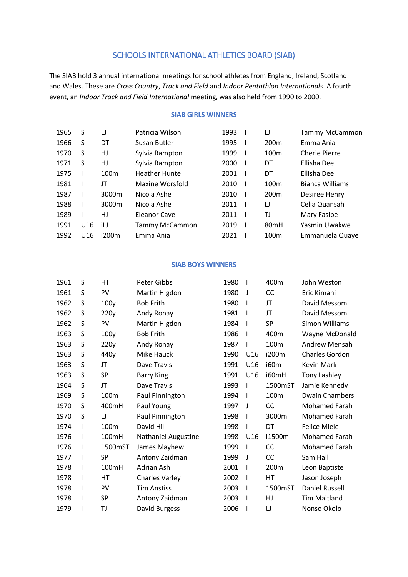## SCHOOLS INTERNATIONAL ATHLETICS BOARD (SIAB)

The SIAB hold 3 annual international meetings for school athletes from England, Ireland, Scotland and Wales. These are *Cross Country*, *Track and Field* and *Indoor Pentathlon Internationals*. A fourth event, an *Indoor Track and Field International* meeting, was also held from 1990 to 2000.

#### **SIAB GIRLS WINNERS**

| 1965 | S               | IJ               | Patricia Wilson      | 1993 | IJ               | <b>Tammy McCammon</b> |
|------|-----------------|------------------|----------------------|------|------------------|-----------------------|
| 1966 | S               | DT               | Susan Butler         | 1995 | 200 <sub>m</sub> | Emma Ania             |
| 1970 | S               | HJ               | Sylvia Rampton       | 1999 | 100 <sub>m</sub> | Cherie Pierre         |
| 1971 | S               | HJ               | Sylvia Rampton       | 2000 | DT               | Ellisha Dee           |
| 1975 |                 | 100 <sub>m</sub> | <b>Heather Hunte</b> | 2001 | DT               | Ellisha Dee           |
| 1981 |                 | JT               | Maxine Worsfold      | 2010 | 100 <sub>m</sub> | Bianca Williams       |
| 1987 |                 | 3000m            | Nicola Ashe          | 2010 | 200 <sub>m</sub> | Desiree Henry         |
| 1988 |                 | 3000m            | Nicola Ashe          | 2011 | IJ               | Celia Quansah         |
| 1989 |                 | HJ               | Eleanor Cave         | 2011 | TJ               | Mary Fasipe           |
| 1991 | U <sub>16</sub> | iIJ              | Tammy McCammon       | 2019 | 80 <sub>mH</sub> | Yasmin Uwakwe         |
| 1992 | U16             | i200m            | Emma Ania            | 2021 | 100 <sub>m</sub> | Emmanuela Quaye       |
|      |                 |                  |                      |      |                  |                       |

#### **SIAB BOYS WINNERS**

| 1961 | S | HT        | <b>Peter Gibbs</b>         | 1980 | ı   | 400m      | John Weston           |
|------|---|-----------|----------------------------|------|-----|-----------|-----------------------|
| 1961 | S | PV        | Martin Higdon              | 1980 | J   | CC        | Eric Kimani           |
| 1962 | S | 100y      | <b>Bob Frith</b>           | 1980 | ı   | JT        | David Messom          |
| 1962 | S | 220y      | Andy Ronay                 | 1981 | I   | JT        | David Messom          |
| 1962 | S | PV        | Martin Higdon              | 1984 | I   | <b>SP</b> | Simon Williams        |
| 1963 | S | 100y      | <b>Bob Frith</b>           | 1986 | ı   | 400m      | Wayne McDonald        |
| 1963 | S | 220y      | Andy Ronay                 | 1987 | I   | 100m      | Andrew Mensah         |
| 1963 | S | 440y      | Mike Hauck                 | 1990 | U16 | i200m     | <b>Charles Gordon</b> |
| 1963 | S | JT        | Dave Travis                | 1991 | U16 | i60m      | Kevin Mark            |
| 1963 | S | <b>SP</b> | <b>Barry King</b>          | 1991 | U16 | i60mH     | Tony Lashley          |
| 1964 | S | JT        | Dave Travis                | 1993 | ı   | 1500mST   | Jamie Kennedy         |
| 1969 | S | 100m      | Paul Pinnington            | 1994 | I   | 100m      | <b>Dwain Chambers</b> |
| 1970 | S | 400mH     | Paul Young                 | 1997 | J   | CC        | <b>Mohamed Farah</b>  |
| 1970 | S | IJ        | Paul Pinnington            | 1998 | I   | 3000m     | Mohamed Farah         |
| 1974 |   | 100m      | David Hill                 | 1998 |     | DT        | <b>Felice Miele</b>   |
| 1976 | ı | 100mH     | <b>Nathaniel Augustine</b> | 1998 | U16 | i1500m    | <b>Mohamed Farah</b>  |
| 1976 | I | 1500mST   | James Mayhew               | 1999 | I   | CC        | Mohamed Farah         |
| 1977 | I | <b>SP</b> | Antony Zaidman             | 1999 | J   | CC        | Sam Hall              |
| 1978 | I | 100mH     | Adrian Ash                 | 2001 | ı   | 200m      | Leon Baptiste         |
| 1978 | I | HT        | <b>Charles Varley</b>      | 2002 | ı   | HT        | Jason Joseph          |
| 1978 | I | PV        | Tim Anstiss                | 2003 | ı   | 1500mST   | <b>Daniel Russell</b> |
| 1978 | ı | <b>SP</b> | Antony Zaidman             | 2003 | I   | HJ        | <b>Tim Maitland</b>   |
| 1979 |   | TJ        | David Burgess              | 2006 |     | IJ        | Nonso Okolo           |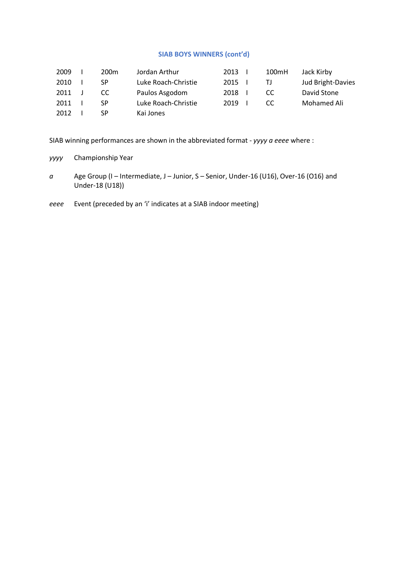#### **SIAB BOYS WINNERS (cont'd)**

| 2009 | 200 <sub>m</sub> | Jordan Arthur       | 2013 | 100mH | Jack Kirby        |
|------|------------------|---------------------|------|-------|-------------------|
| 2010 | SP.              | Luke Roach-Christie | 2015 | ΤI    | Jud Bright-Davies |
| 2011 | CC.              | Paulos Asgodom      | 2018 | CC.   | David Stone       |
| 2011 | <b>SP</b>        | Luke Roach-Christie | 2019 | CC.   | Mohamed Ali       |
| 2012 | SP               | Kai Jones           |      |       |                   |

SIAB winning performances are shown in the abbreviated format - *yyyy a eeee* where :

- *yyyy* Championship Year
- *a* Age Group (I Intermediate, J Junior, S Senior, Under-16 (U16), Over-16 (O16) and Under-18 (U18))
- *eeee* Event (preceded by an 'i' indicates at a SIAB indoor meeting)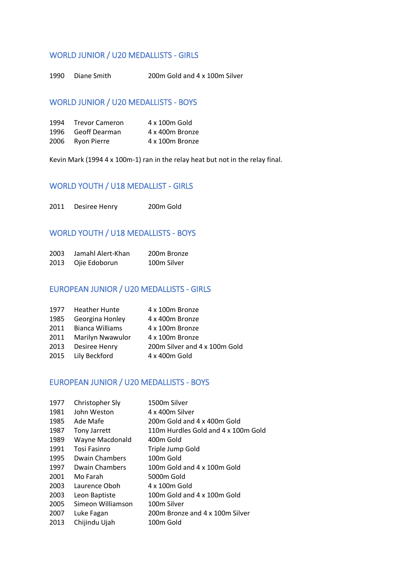## WORLD JUNIOR / U20 MEDALLISTS - GIRLS

Diane Smith 200m Gold and 4 x 100m Silver

## WORLD JUNIOR / U20 MEDALLISTS - BOYS

| 1994 Trevor Cameron | 4 x 100m Gold   |
|---------------------|-----------------|
| 1996 Geoff Dearman  | 4 x 400m Bronze |
| 2006 Ryon Pierre    | 4 x 100m Bronze |

Kevin Mark (1994 4 x 100m-1) ran in the relay heat but not in the relay final.

## WORLD YOUTH / U18 MEDALLIST - GIRLS

Desiree Henry 200m Gold

## WORLD YOUTH / U18 MEDALLISTS - BOYS

| 2003 | Jamahl Alert-Khan  | 200m Bronze |
|------|--------------------|-------------|
|      | 2013 Ojie Edoborun | 100m Silver |

## EUROPEAN JUNIOR / U20 MEDALLISTS - GIRLS

|      | 1977 Heather Hunte    | 4 x 100m Bronze               |
|------|-----------------------|-------------------------------|
| 1985 | Georgina Honley       | 4 x 400m Bronze               |
|      | 2011 Bianca Williams  | 4 x 100m Bronze               |
|      | 2011 Marilyn Nwawulor | 4 x 100m Bronze               |
|      | 2013 Desiree Henry    | 200m Silver and 4 x 100m Gold |
|      | 2015 Lily Beckford    | 4 x 400m Gold                 |

## EUROPEAN JUNIOR / U20 MEDALLISTS - BOYS

| 1977 | Christopher Sly       | 1500m Silver                        |
|------|-----------------------|-------------------------------------|
| 1981 | John Weston           | 4 x 400m Silver                     |
| 1985 | Ade Mafe              | 200m Gold and 4 x 400m Gold         |
| 1987 | <b>Tony Jarrett</b>   | 110m Hurdles Gold and 4 x 100m Gold |
| 1989 | Wayne Macdonald       | 400m Gold                           |
| 1991 | Tosi Fasinro          | Triple Jump Gold                    |
| 1995 | <b>Dwain Chambers</b> | 100m Gold                           |
| 1997 | Dwain Chambers        | 100m Gold and 4 x 100m Gold         |
| 2001 | Mo Farah              | 5000m Gold                          |
| 2003 | Laurence Oboh         | 4 x 100m Gold                       |
| 2003 | Leon Baptiste         | 100m Gold and 4 x 100m Gold         |
| 2005 | Simeon Williamson     | 100m Silver                         |
| 2007 | Luke Fagan            | 200m Bronze and 4 x 100m Silver     |
| 2013 | Chijindu Ujah         | 100m Gold                           |
|      |                       |                                     |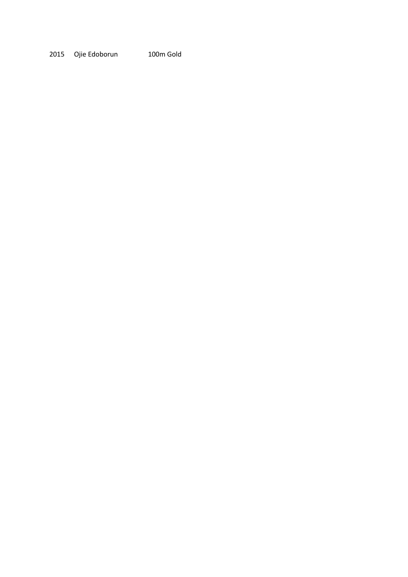Ojie Edoborun 100m Gold